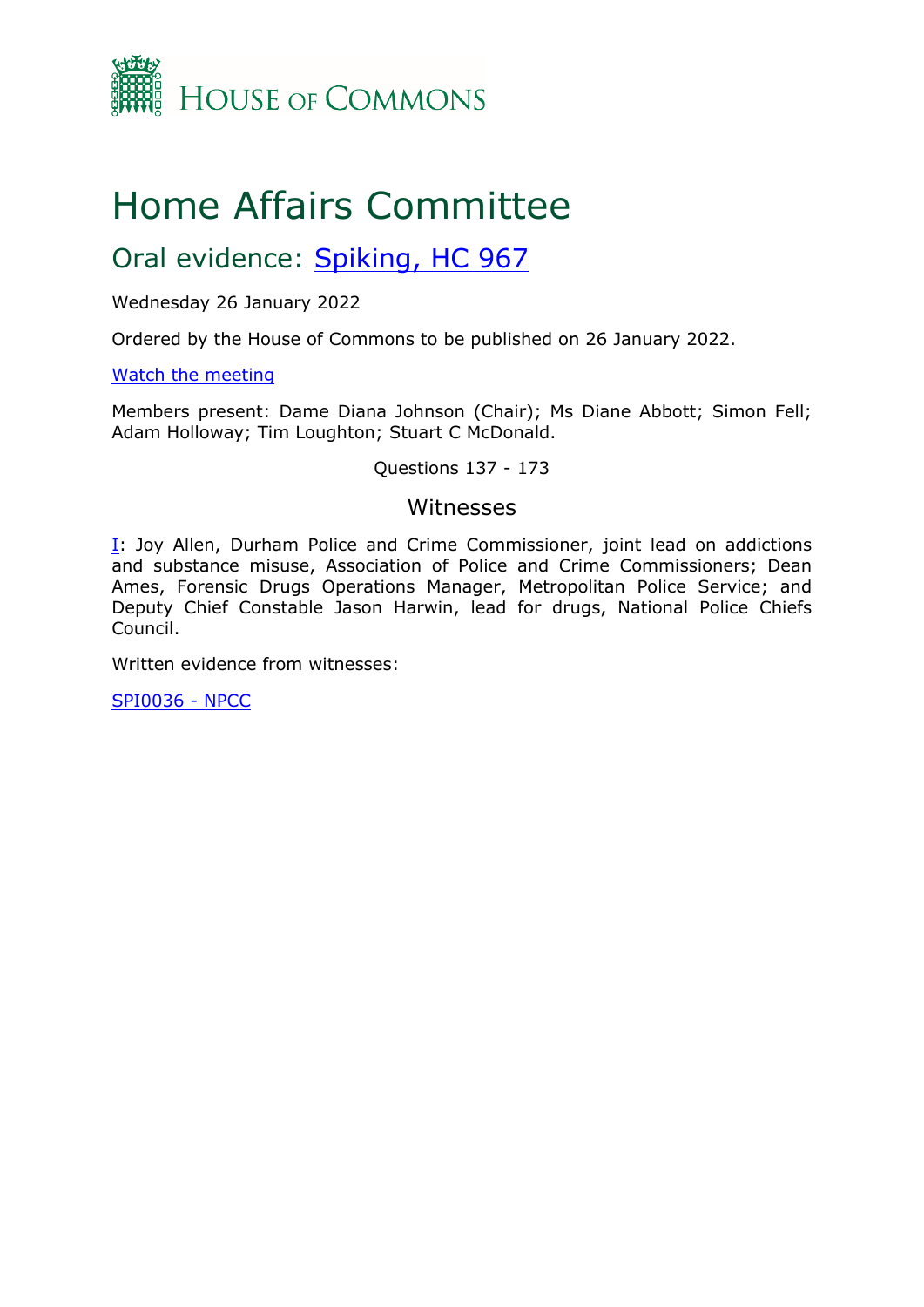

# Home Affairs Committee

## Oral evidence: [Spiking,](https://committees.parliament.uk/work/1696/spiking/publications/) [HC](https://committees.parliament.uk/work/1696/spiking/publications/) [967](https://committees.parliament.uk/work/1696/spiking/publications/)

Wednesday 26 January 2022

Ordered by the House of Commons to be published on 26 January 2022.

[Watch](https://parliamentlive.tv/event/index/f01387fc-4852-46d2-895b-ee311fb5f174) [the](https://parliamentlive.tv/event/index/f01387fc-4852-46d2-895b-ee311fb5f174) [meeting](https://parliamentlive.tv/event/index/f01387fc-4852-46d2-895b-ee311fb5f174)

Members present: Dame Diana Johnson (Chair); Ms Diane Abbott; Simon Fell; Adam Holloway; Tim Loughton; Stuart C McDonald.

#### Questions 137 - 173

#### Witnesses

[I:](#page-1-0) Joy Allen, Durham Police and Crime Commissioner, joint lead on addictions and substance misuse, Association of Police and Crime Commissioners; Dean Ames, Forensic Drugs Operations Manager, Metropolitan Police Service; and Deputy Chief Constable Jason Harwin, lead for drugs, National Police Chiefs Council.

Written evidence from witnesses:

[SPI0036](https://committees.parliament.uk/writtenevidence/42866/pdf/) [-](https://committees.parliament.uk/writtenevidence/42866/pdf/) [NPCC](https://committees.parliament.uk/writtenevidence/42866/pdf/)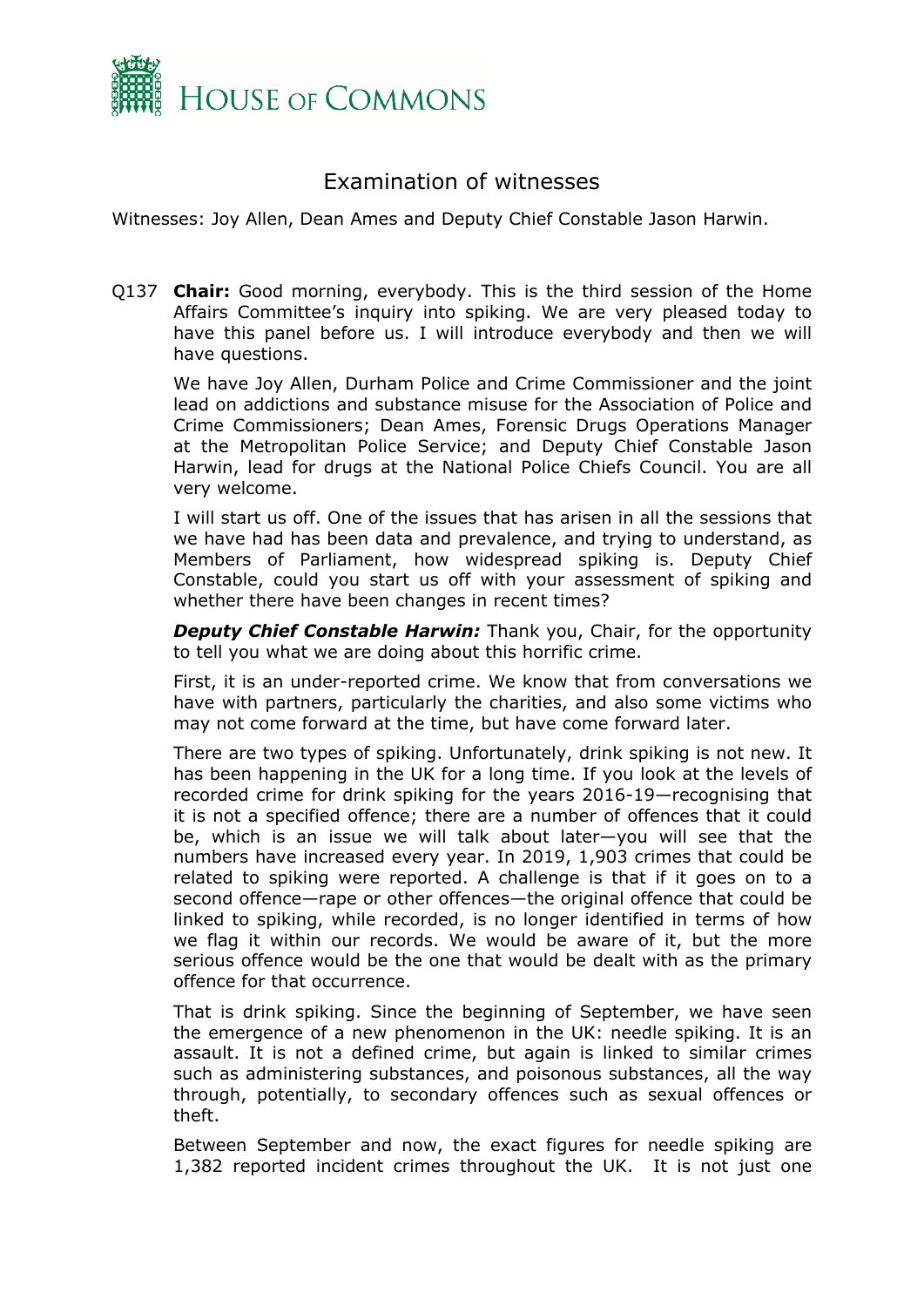

### <span id="page-1-0"></span>Examination of witnesses

Witnesses: Joy Allen, Dean Ames and Deputy Chief Constable Jason Harwin.

Q137 **Chair:** Good morning, everybody. This is the third session of the Home Affairs Committee's inquiry into spiking. We are very pleased today to have this panel before us. I will introduce everybody and then we will have questions.

We have Joy Allen, Durham Police and Crime Commissioner and the joint lead on addictions and substance misuse for the Association of Police and Crime Commissioners; Dean Ames, Forensic Drugs Operations Manager at the Metropolitan Police Service; and Deputy Chief Constable Jason Harwin, lead for drugs at the National Police Chiefs Council. You are all very welcome.

I will start us off. One of the issues that has arisen in all the sessions that we have had has been data and prevalence, and trying to understand, as Members of Parliament, how widespread spiking is. Deputy Chief Constable, could you start us off with your assessment of spiking and whether there have been changes in recent times?

*Deputy Chief Constable Harwin:* Thank you, Chair, for the opportunity to tell you what we are doing about this horrific crime.

First, it is an under-reported crime. We know that from conversations we have with partners, particularly the charities, and also some victims who may not come forward at the time, but have come forward later.

There are two types of spiking. Unfortunately, drink spiking is not new. It has been happening in the UK for a long time. If you look at the levels of recorded crime for drink spiking for the years 2016-19—recognising that it is not a specified offence; there are a number of offences that it could be, which is an issue we will talk about later—you will see that the numbers have increased every year. In 2019, 1,903 crimes that could be related to spiking were reported. A challenge is that if it goes on to a second offence—rape or other offences—the original offence that could be linked to spiking, while recorded, is no longer identified in terms of how we flag it within our records. We would be aware of it, but the more serious offence would be the one that would be dealt with as the primary offence for that occurrence.

That is drink spiking. Since the beginning of September, we have seen the emergence of a new phenomenon in the UK: needle spiking. It is an assault. It is not a defined crime, but again is linked to similar crimes such as administering substances, and poisonous substances, all the way through, potentially, to secondary offences such as sexual offences or theft.

Between September and now, the exact figures for needle spiking are 1,382 reported incident crimes throughout the UK. It is not just one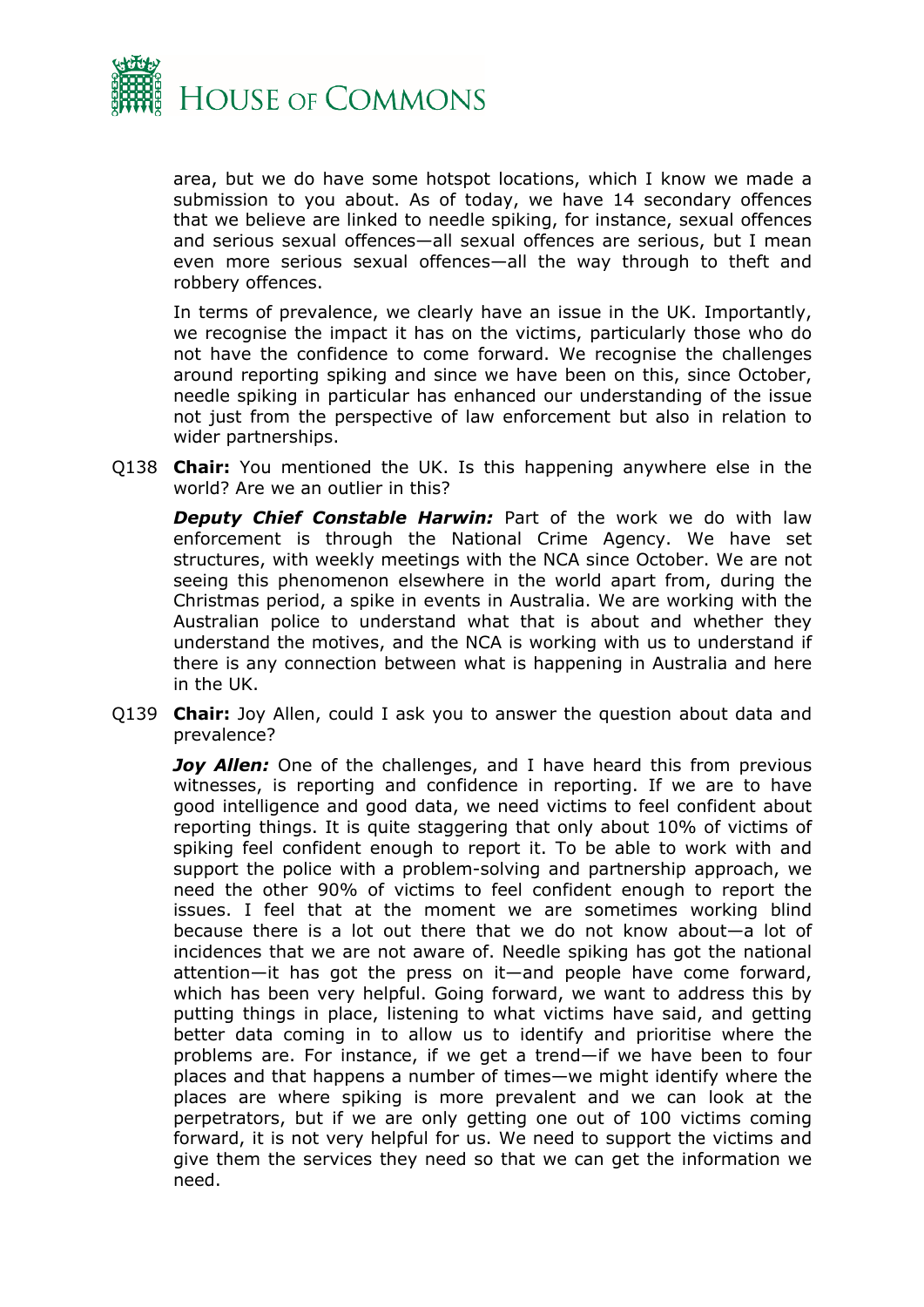

area, but we do have some hotspot locations, which I know we made a submission to you about. As of today, we have 14 secondary offences that we believe are linked to needle spiking, for instance, sexual offences and serious sexual offences—all sexual offences are serious, but I mean even more serious sexual offences—all the way through to theft and robbery offences.

In terms of prevalence, we clearly have an issue in the UK. Importantly, we recognise the impact it has on the victims, particularly those who do not have the confidence to come forward. We recognise the challenges around reporting spiking and since we have been on this, since October, needle spiking in particular has enhanced our understanding of the issue not just from the perspective of law enforcement but also in relation to wider partnerships.

Q138 **Chair:** You mentioned the UK. Is this happening anywhere else in the world? Are we an outlier in this?

*Deputy Chief Constable Harwin:* Part of the work we do with law enforcement is through the National Crime Agency. We have set structures, with weekly meetings with the NCA since October. We are not seeing this phenomenon elsewhere in the world apart from, during the Christmas period, a spike in events in Australia. We are working with the Australian police to understand what that is about and whether they understand the motives, and the NCA is working with us to understand if there is any connection between what is happening in Australia and here in the UK.

Q139 **Chair:** Joy Allen, could I ask you to answer the question about data and prevalence?

*Joy Allen:* One of the challenges, and I have heard this from previous witnesses, is reporting and confidence in reporting. If we are to have good intelligence and good data, we need victims to feel confident about reporting things. It is quite staggering that only about 10% of victims of spiking feel confident enough to report it. To be able to work with and support the police with a problem-solving and partnership approach, we need the other 90% of victims to feel confident enough to report the issues. I feel that at the moment we are sometimes working blind because there is a lot out there that we do not know about—a lot of incidences that we are not aware of. Needle spiking has got the national attention—it has got the press on it—and people have come forward, which has been very helpful. Going forward, we want to address this by putting things in place, listening to what victims have said, and getting better data coming in to allow us to identify and prioritise where the problems are. For instance, if we get a trend—if we have been to four places and that happens a number of times—we might identify where the places are where spiking is more prevalent and we can look at the perpetrators, but if we are only getting one out of 100 victims coming forward, it is not very helpful for us. We need to support the victims and give them the services they need so that we can get the information we need.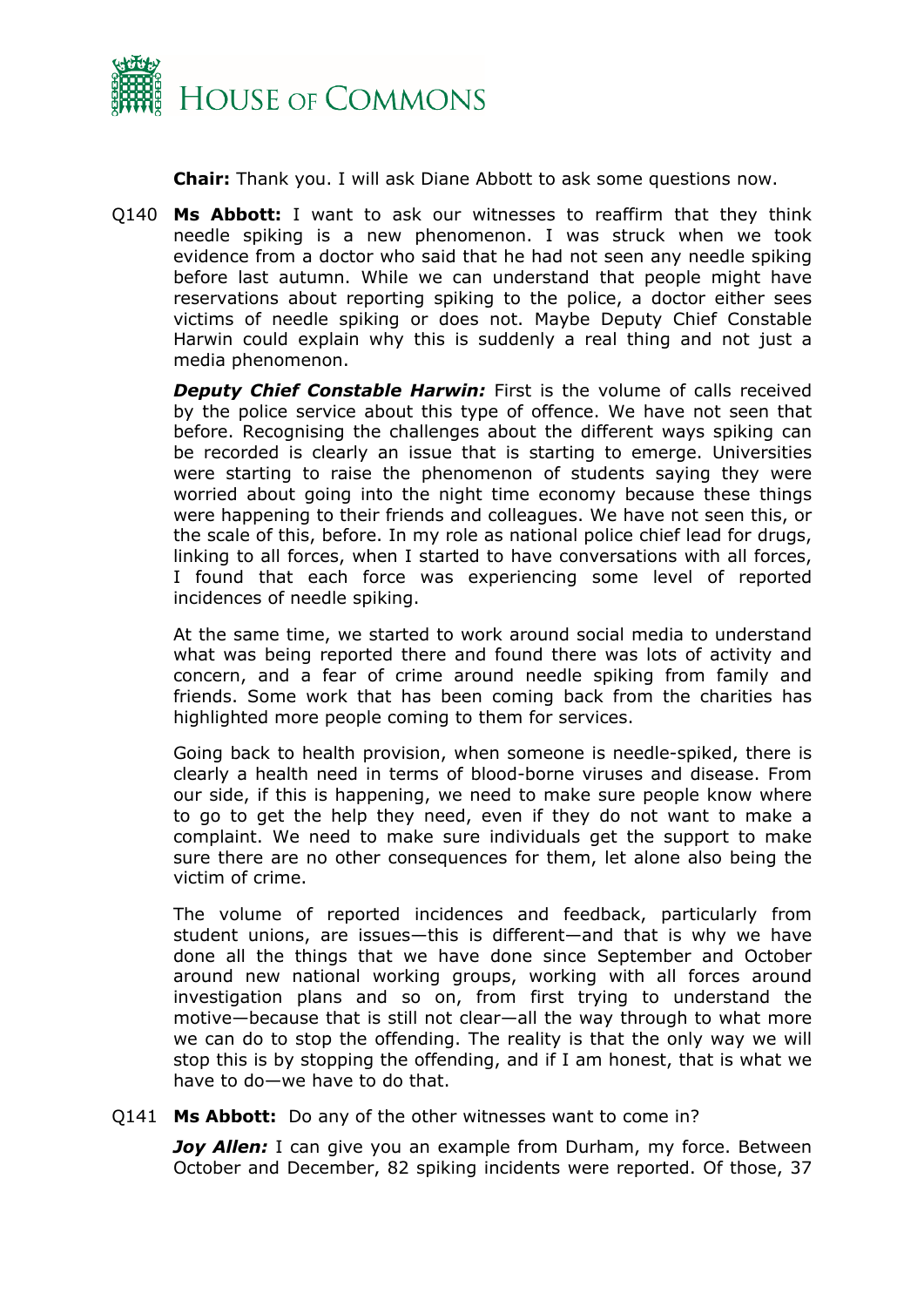

**Chair:** Thank you. I will ask Diane Abbott to ask some questions now.

Q140 **Ms Abbott:** I want to ask our witnesses to reaffirm that they think needle spiking is a new phenomenon. I was struck when we took evidence from a doctor who said that he had not seen any needle spiking before last autumn. While we can understand that people might have reservations about reporting spiking to the police, a doctor either sees victims of needle spiking or does not. Maybe Deputy Chief Constable Harwin could explain why this is suddenly a real thing and not just a media phenomenon.

*Deputy Chief Constable Harwin:* First is the volume of calls received by the police service about this type of offence. We have not seen that before. Recognising the challenges about the different ways spiking can be recorded is clearly an issue that is starting to emerge. Universities were starting to raise the phenomenon of students saying they were worried about going into the night time economy because these things were happening to their friends and colleagues. We have not seen this, or the scale of this, before. In my role as national police chief lead for drugs, linking to all forces, when I started to have conversations with all forces, I found that each force was experiencing some level of reported incidences of needle spiking.

At the same time, we started to work around social media to understand what was being reported there and found there was lots of activity and concern, and a fear of crime around needle spiking from family and friends. Some work that has been coming back from the charities has highlighted more people coming to them for services.

Going back to health provision, when someone is needle-spiked, there is clearly a health need in terms of blood-borne viruses and disease. From our side, if this is happening, we need to make sure people know where to go to get the help they need, even if they do not want to make a complaint. We need to make sure individuals get the support to make sure there are no other consequences for them, let alone also being the victim of crime.

The volume of reported incidences and feedback, particularly from student unions, are issues—this is different—and that is why we have done all the things that we have done since September and October around new national working groups, working with all forces around investigation plans and so on, from first trying to understand the motive—because that is still not clear—all the way through to what more we can do to stop the offending. The reality is that the only way we will stop this is by stopping the offending, and if I am honest, that is what we have to do—we have to do that.

#### Q141 **Ms Abbott:** Do any of the other witnesses want to come in?

*Joy Allen:* I can give you an example from Durham, my force. Between October and December, 82 spiking incidents were reported. Of those, 37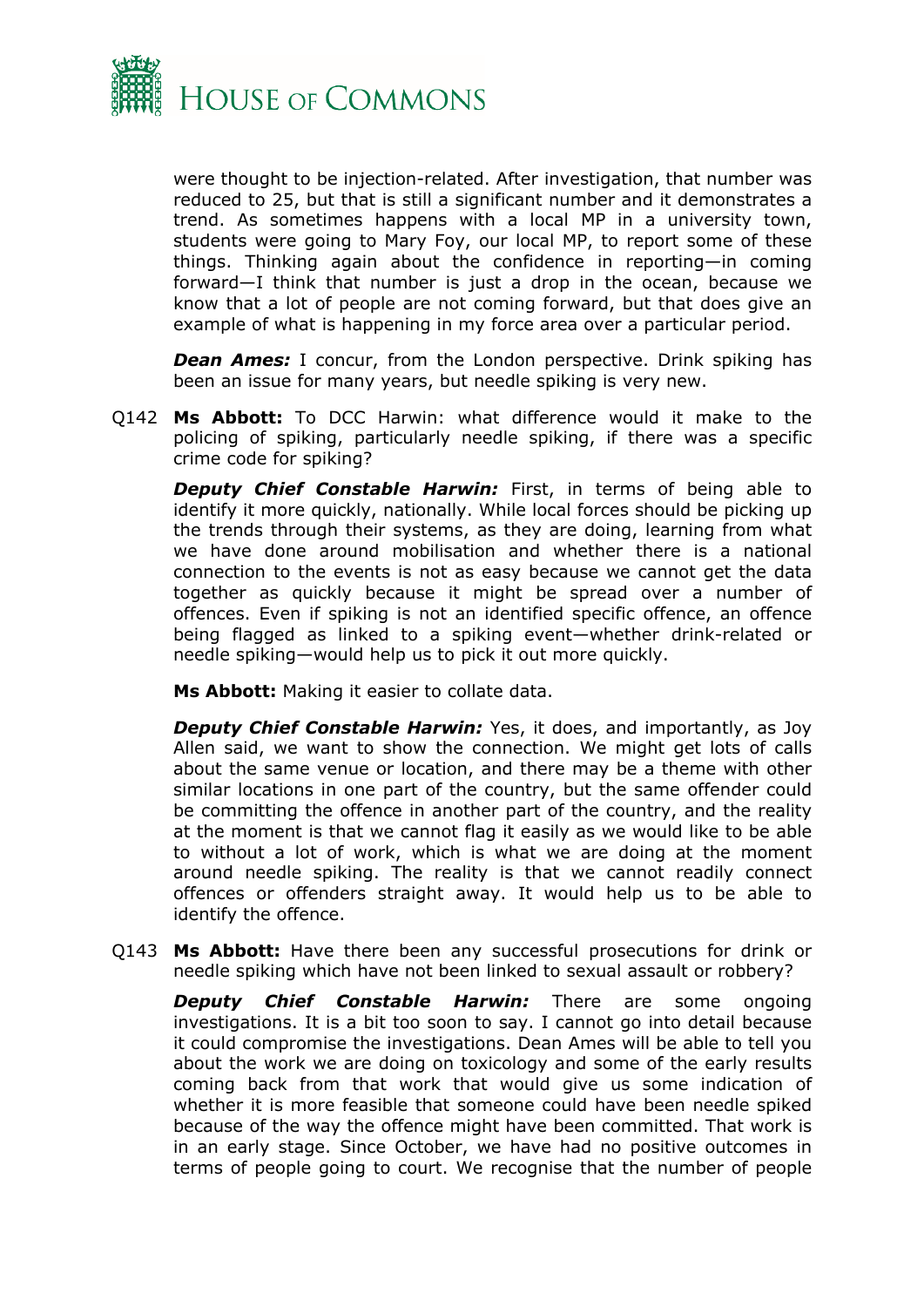

were thought to be injection-related. After investigation, that number was reduced to 25, but that is still a significant number and it demonstrates a trend. As sometimes happens with a local MP in a university town, students were going to Mary Foy, our local MP, to report some of these things. Thinking again about the confidence in reporting—in coming forward—I think that number is just a drop in the ocean, because we know that a lot of people are not coming forward, but that does give an example of what is happening in my force area over a particular period.

*Dean Ames:* I concur, from the London perspective. Drink spiking has been an issue for many years, but needle spiking is very new.

Q142 **Ms Abbott:** To DCC Harwin: what difference would it make to the policing of spiking, particularly needle spiking, if there was a specific crime code for spiking?

*Deputy Chief Constable Harwin:* First, in terms of being able to identify it more quickly, nationally. While local forces should be picking up the trends through their systems, as they are doing, learning from what we have done around mobilisation and whether there is a national connection to the events is not as easy because we cannot get the data together as quickly because it might be spread over a number of offences. Even if spiking is not an identified specific offence, an offence being flagged as linked to a spiking event—whether drink-related or needle spiking—would help us to pick it out more quickly.

**Ms Abbott:** Making it easier to collate data.

*Deputy Chief Constable Harwin:* Yes, it does, and importantly, as Joy Allen said, we want to show the connection. We might get lots of calls about the same venue or location, and there may be a theme with other similar locations in one part of the country, but the same offender could be committing the offence in another part of the country, and the reality at the moment is that we cannot flag it easily as we would like to be able to without a lot of work, which is what we are doing at the moment around needle spiking. The reality is that we cannot readily connect offences or offenders straight away. It would help us to be able to identify the offence.

Q143 **Ms Abbott:** Have there been any successful prosecutions for drink or needle spiking which have not been linked to sexual assault or robbery?

*Deputy Chief Constable Harwin:* There are some ongoing investigations. It is a bit too soon to say. I cannot go into detail because it could compromise the investigations. Dean Ames will be able to tell you about the work we are doing on toxicology and some of the early results coming back from that work that would give us some indication of whether it is more feasible that someone could have been needle spiked because of the way the offence might have been committed. That work is in an early stage. Since October, we have had no positive outcomes in terms of people going to court. We recognise that the number of people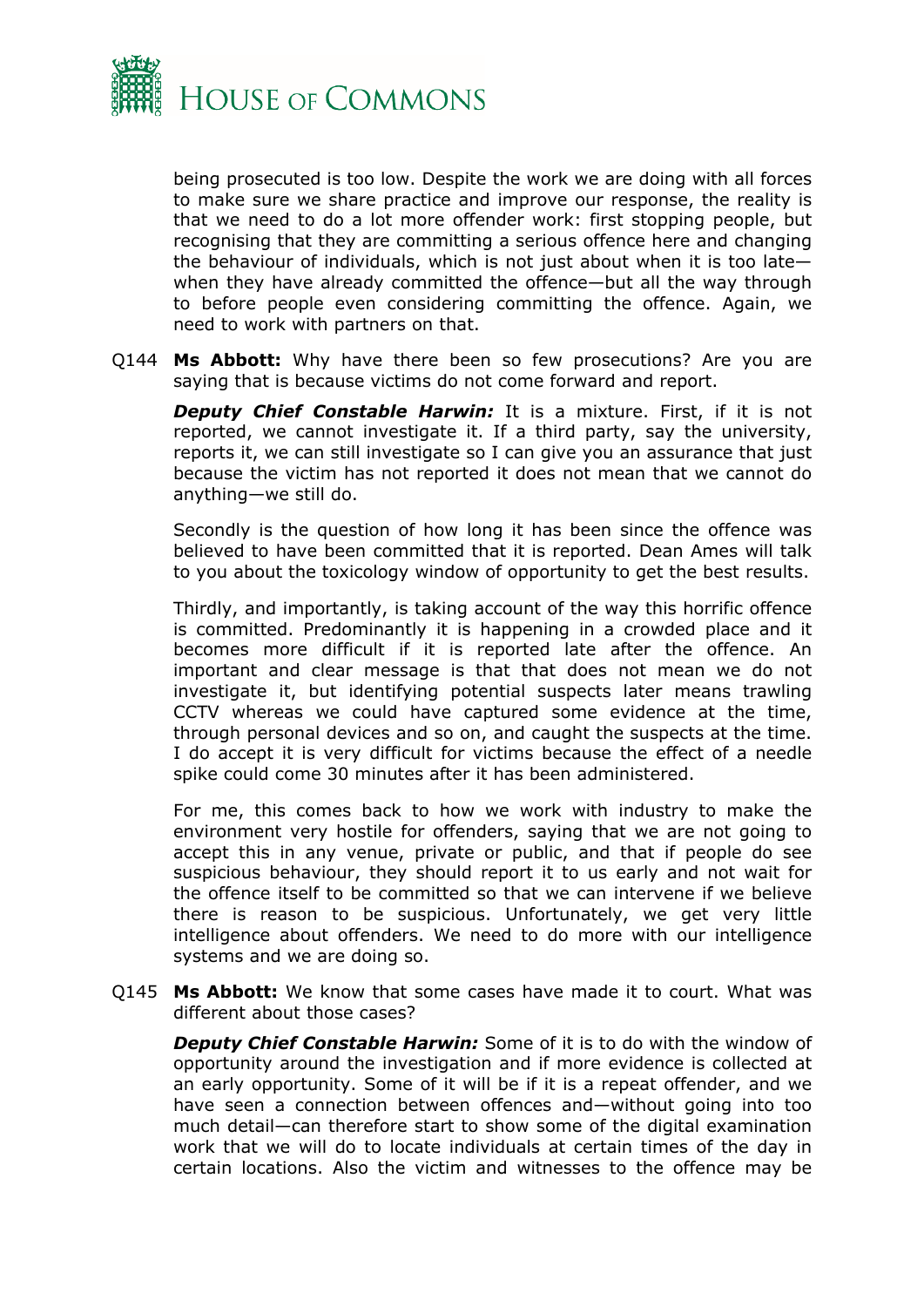

being prosecuted is too low. Despite the work we are doing with all forces to make sure we share practice and improve our response, the reality is that we need to do a lot more offender work: first stopping people, but recognising that they are committing a serious offence here and changing the behaviour of individuals, which is not just about when it is too late when they have already committed the offence—but all the way through to before people even considering committing the offence. Again, we need to work with partners on that.

Q144 **Ms Abbott:** Why have there been so few prosecutions? Are you are saying that is because victims do not come forward and report.

*Deputy Chief Constable Harwin:* It is a mixture. First, if it is not reported, we cannot investigate it. If a third party, say the university, reports it, we can still investigate so I can give you an assurance that just because the victim has not reported it does not mean that we cannot do anything—we still do.

Secondly is the question of how long it has been since the offence was believed to have been committed that it is reported. Dean Ames will talk to you about the toxicology window of opportunity to get the best results.

Thirdly, and importantly, is taking account of the way this horrific offence is committed. Predominantly it is happening in a crowded place and it becomes more difficult if it is reported late after the offence. An important and clear message is that that does not mean we do not investigate it, but identifying potential suspects later means trawling CCTV whereas we could have captured some evidence at the time, through personal devices and so on, and caught the suspects at the time. I do accept it is very difficult for victims because the effect of a needle spike could come 30 minutes after it has been administered.

For me, this comes back to how we work with industry to make the environment very hostile for offenders, saying that we are not going to accept this in any venue, private or public, and that if people do see suspicious behaviour, they should report it to us early and not wait for the offence itself to be committed so that we can intervene if we believe there is reason to be suspicious. Unfortunately, we get very little intelligence about offenders. We need to do more with our intelligence systems and we are doing so.

Q145 **Ms Abbott:** We know that some cases have made it to court. What was different about those cases?

*Deputy Chief Constable Harwin:* Some of it is to do with the window of opportunity around the investigation and if more evidence is collected at an early opportunity. Some of it will be if it is a repeat offender, and we have seen a connection between offences and—without going into too much detail—can therefore start to show some of the digital examination work that we will do to locate individuals at certain times of the day in certain locations. Also the victim and witnesses to the offence may be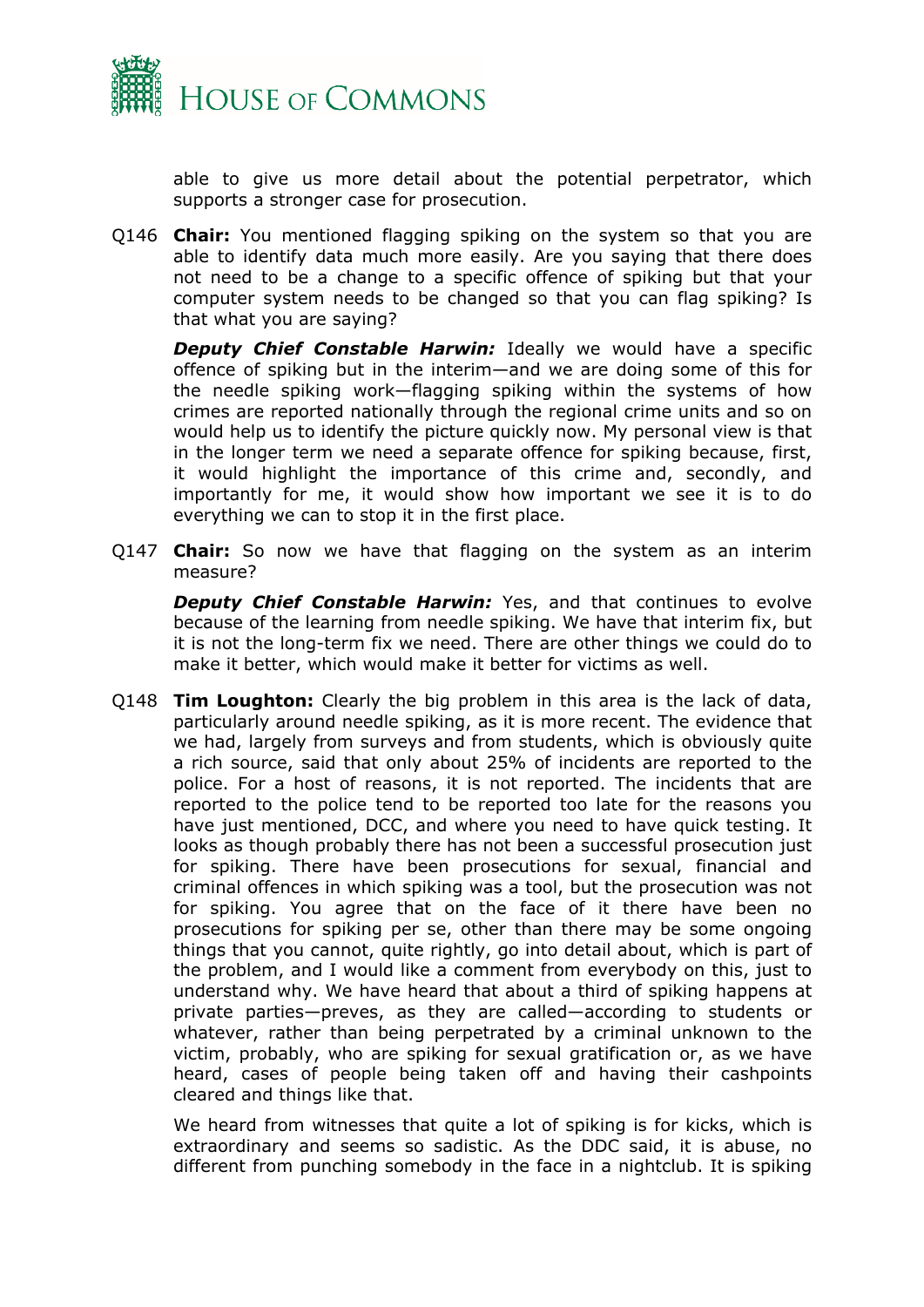

able to give us more detail about the potential perpetrator, which supports a stronger case for prosecution.

Q146 **Chair:** You mentioned flagging spiking on the system so that you are able to identify data much more easily. Are you saying that there does not need to be a change to a specific offence of spiking but that your computer system needs to be changed so that you can flag spiking? Is that what you are saying?

*Deputy Chief Constable Harwin:* Ideally we would have a specific offence of spiking but in the interim—and we are doing some of this for the needle spiking work—flagging spiking within the systems of how crimes are reported nationally through the regional crime units and so on would help us to identify the picture quickly now. My personal view is that in the longer term we need a separate offence for spiking because, first, it would highlight the importance of this crime and, secondly, and importantly for me, it would show how important we see it is to do everything we can to stop it in the first place.

Q147 **Chair:** So now we have that flagging on the system as an interim measure?

*Deputy Chief Constable Harwin: Yes, and that continues to evolve* because of the learning from needle spiking. We have that interim fix, but it is not the long-term fix we need. There are other things we could do to make it better, which would make it better for victims as well.

Q148 **Tim Loughton:** Clearly the big problem in this area is the lack of data, particularly around needle spiking, as it is more recent. The evidence that we had, largely from surveys and from students, which is obviously quite a rich source, said that only about 25% of incidents are reported to the police. For a host of reasons, it is not reported. The incidents that are reported to the police tend to be reported too late for the reasons you have just mentioned, DCC, and where you need to have quick testing. It looks as though probably there has not been a successful prosecution just for spiking. There have been prosecutions for sexual, financial and criminal offences in which spiking was a tool, but the prosecution was not for spiking. You agree that on the face of it there have been no prosecutions for spiking per se, other than there may be some ongoing things that you cannot, quite rightly, go into detail about, which is part of the problem, and I would like a comment from everybody on this, just to understand why. We have heard that about a third of spiking happens at private parties—preves, as they are called—according to students or whatever, rather than being perpetrated by a criminal unknown to the victim, probably, who are spiking for sexual gratification or, as we have heard, cases of people being taken off and having their cashpoints cleared and things like that.

We heard from witnesses that quite a lot of spiking is for kicks, which is extraordinary and seems so sadistic. As the DDC said, it is abuse, no different from punching somebody in the face in a nightclub. It is spiking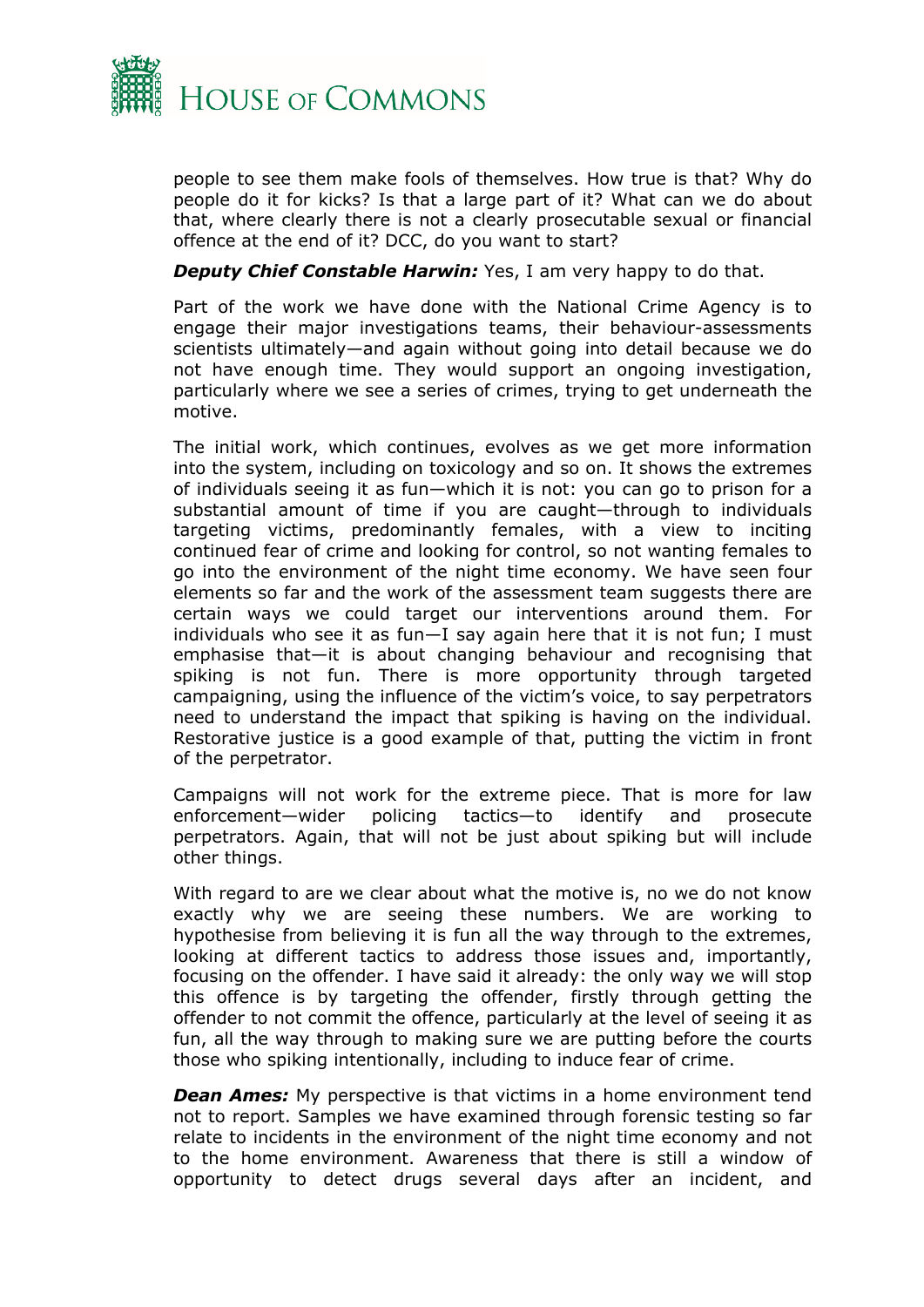

people to see them make fools of themselves. How true is that? Why do people do it for kicks? Is that a large part of it? What can we do about that, where clearly there is not a clearly prosecutable sexual or financial offence at the end of it? DCC, do you want to start?

*Deputy Chief Constable Harwin:* Yes, I am very happy to do that.

Part of the work we have done with the National Crime Agency is to engage their major investigations teams, their behaviour-assessments scientists ultimately—and again without going into detail because we do not have enough time. They would support an ongoing investigation, particularly where we see a series of crimes, trying to get underneath the motive.

The initial work, which continues, evolves as we get more information into the system, including on toxicology and so on. It shows the extremes of individuals seeing it as fun—which it is not: you can go to prison for a substantial amount of time if you are caught—through to individuals targeting victims, predominantly females, with a view to inciting continued fear of crime and looking for control, so not wanting females to go into the environment of the night time economy. We have seen four elements so far and the work of the assessment team suggests there are certain ways we could target our interventions around them. For individuals who see it as fun—I say again here that it is not fun; I must emphasise that—it is about changing behaviour and recognising that spiking is not fun. There is more opportunity through targeted campaigning, using the influence of the victim's voice, to say perpetrators need to understand the impact that spiking is having on the individual. Restorative justice is a good example of that, putting the victim in front of the perpetrator.

Campaigns will not work for the extreme piece. That is more for law enforcement—wider policing tactics—to identify and prosecute perpetrators. Again, that will not be just about spiking but will include other things.

With regard to are we clear about what the motive is, no we do not know exactly why we are seeing these numbers. We are working to hypothesise from believing it is fun all the way through to the extremes, looking at different tactics to address those issues and, importantly, focusing on the offender. I have said it already: the only way we will stop this offence is by targeting the offender, firstly through getting the offender to not commit the offence, particularly at the level of seeing it as fun, all the way through to making sure we are putting before the courts those who spiking intentionally, including to induce fear of crime.

*Dean Ames:* My perspective is that victims in a home environment tend not to report. Samples we have examined through forensic testing so far relate to incidents in the environment of the night time economy and not to the home environment. Awareness that there is still a window of opportunity to detect drugs several days after an incident, and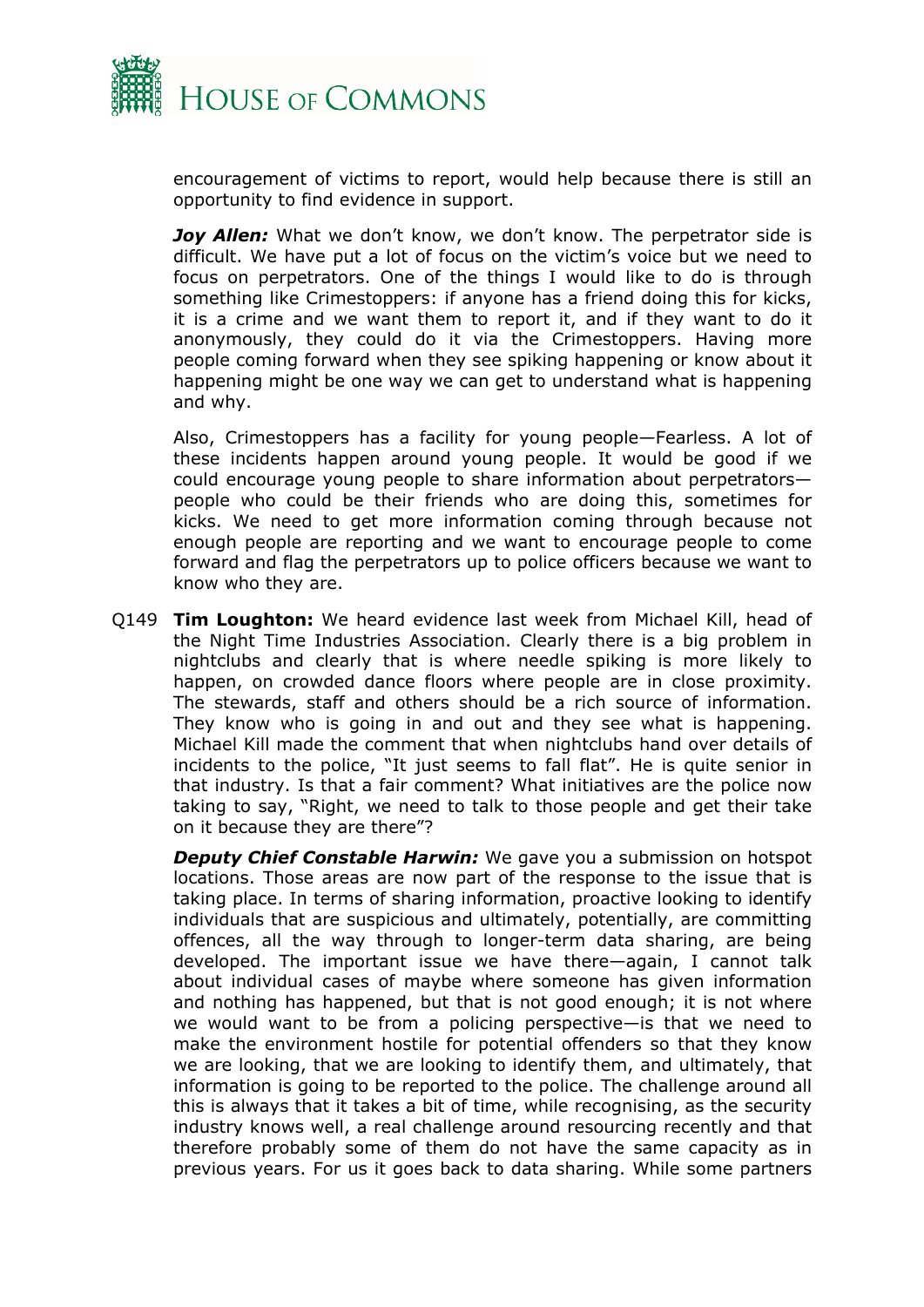

encouragement of victims to report, would help because there is still an opportunity to find evidence in support.

*Joy Allen:* What we don't know, we don't know. The perpetrator side is difficult. We have put a lot of focus on the victim's voice but we need to focus on perpetrators. One of the things I would like to do is through something like Crimestoppers: if anyone has a friend doing this for kicks, it is a crime and we want them to report it, and if they want to do it anonymously, they could do it via the Crimestoppers. Having more people coming forward when they see spiking happening or know about it happening might be one way we can get to understand what is happening and why.

Also, Crimestoppers has a facility for young people—Fearless. A lot of these incidents happen around young people. It would be good if we could encourage young people to share information about perpetrators people who could be their friends who are doing this, sometimes for kicks. We need to get more information coming through because not enough people are reporting and we want to encourage people to come forward and flag the perpetrators up to police officers because we want to know who they are.

Q149 **Tim Loughton:** We heard evidence last week from Michael Kill, head of the Night Time Industries Association. Clearly there is a big problem in nightclubs and clearly that is where needle spiking is more likely to happen, on crowded dance floors where people are in close proximity. The stewards, staff and others should be a rich source of information. They know who is going in and out and they see what is happening. Michael Kill made the comment that when nightclubs hand over details of incidents to the police, "It just seems to fall flat". He is quite senior in that industry. Is that a fair comment? What initiatives are the police now taking to say, "Right, we need to talk to those people and get their take on it because they are there"?

*Deputy Chief Constable Harwin:* We gave you a submission on hotspot locations. Those areas are now part of the response to the issue that is taking place. In terms of sharing information, proactive looking to identify individuals that are suspicious and ultimately, potentially, are committing offences, all the way through to longer-term data sharing, are being developed. The important issue we have there—again, I cannot talk about individual cases of maybe where someone has given information and nothing has happened, but that is not good enough; it is not where we would want to be from a policing perspective—is that we need to make the environment hostile for potential offenders so that they know we are looking, that we are looking to identify them, and ultimately, that information is going to be reported to the police. The challenge around all this is always that it takes a bit of time, while recognising, as the security industry knows well, a real challenge around resourcing recently and that therefore probably some of them do not have the same capacity as in previous years. For us it goes back to data sharing. While some partners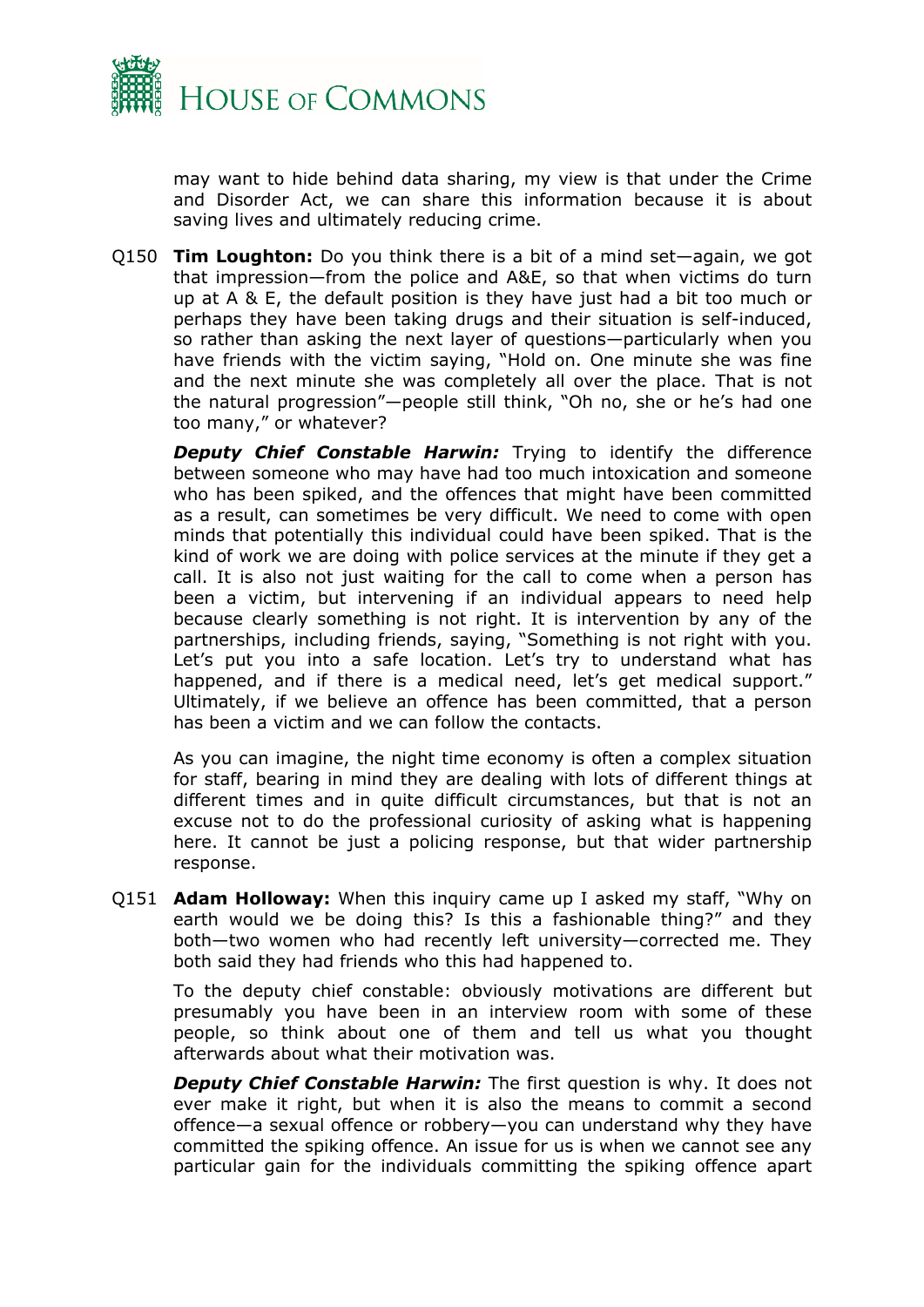

may want to hide behind data sharing, my view is that under the Crime and Disorder Act, we can share this information because it is about saving lives and ultimately reducing crime.

Q150 **Tim Loughton:** Do you think there is a bit of a mind set—again, we got that impression—from the police and A&E, so that when victims do turn up at A & E, the default position is they have just had a bit too much or perhaps they have been taking drugs and their situation is self-induced, so rather than asking the next layer of questions—particularly when you have friends with the victim saying, "Hold on. One minute she was fine and the next minute she was completely all over the place. That is not the natural progression"—people still think, "Oh no, she or he's had one too many," or whatever?

*Deputy Chief Constable Harwin:* Trying to identify the difference between someone who may have had too much intoxication and someone who has been spiked, and the offences that might have been committed as a result, can sometimes be very difficult. We need to come with open minds that potentially this individual could have been spiked. That is the kind of work we are doing with police services at the minute if they get a call. It is also not just waiting for the call to come when a person has been a victim, but intervening if an individual appears to need help because clearly something is not right. It is intervention by any of the partnerships, including friends, saying, "Something is not right with you. Let's put you into a safe location. Let's try to understand what has happened, and if there is a medical need, let's get medical support." Ultimately, if we believe an offence has been committed, that a person has been a victim and we can follow the contacts.

As you can imagine, the night time economy is often a complex situation for staff, bearing in mind they are dealing with lots of different things at different times and in quite difficult circumstances, but that is not an excuse not to do the professional curiosity of asking what is happening here. It cannot be just a policing response, but that wider partnership response.

Q151 **Adam Holloway:** When this inquiry came up I asked my staff, "Why on earth would we be doing this? Is this a fashionable thing?" and they both—two women who had recently left university—corrected me. They both said they had friends who this had happened to.

To the deputy chief constable: obviously motivations are different but presumably you have been in an interview room with some of these people, so think about one of them and tell us what you thought afterwards about what their motivation was.

*Deputy Chief Constable Harwin:* The first question is why. It does not ever make it right, but when it is also the means to commit a second offence—a sexual offence or robbery—you can understand why they have committed the spiking offence. An issue for us is when we cannot see any particular gain for the individuals committing the spiking offence apart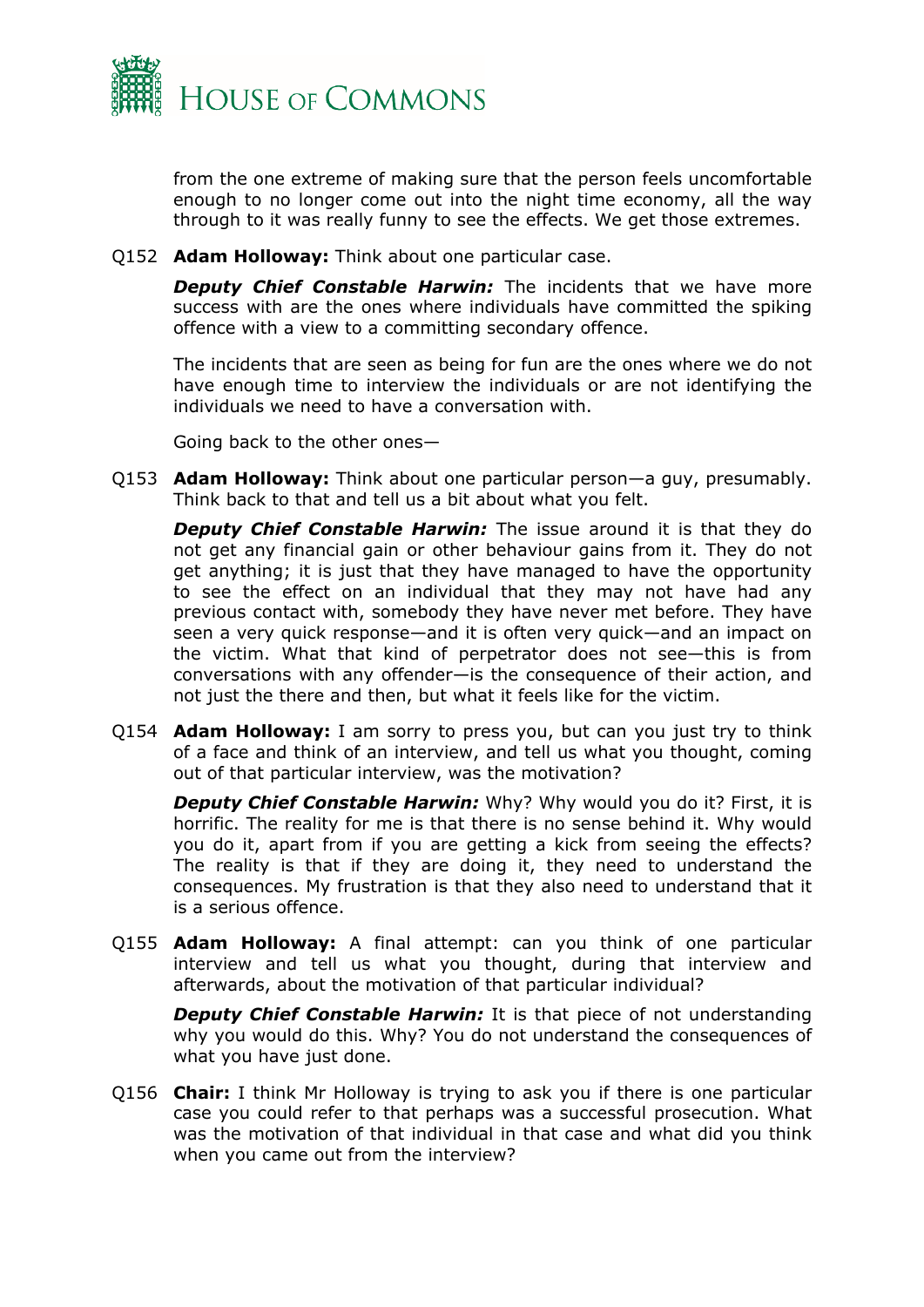

from the one extreme of making sure that the person feels uncomfortable enough to no longer come out into the night time economy, all the way through to it was really funny to see the effects. We get those extremes.

Q152 **Adam Holloway:** Think about one particular case.

*Deputy Chief Constable Harwin:* The incidents that we have more success with are the ones where individuals have committed the spiking offence with a view to a committing secondary offence.

The incidents that are seen as being for fun are the ones where we do not have enough time to interview the individuals or are not identifying the individuals we need to have a conversation with.

Going back to the other ones—

Q153 **Adam Holloway:** Think about one particular person—a guy, presumably. Think back to that and tell us a bit about what you felt.

*Deputy Chief Constable Harwin:* The issue around it is that they do not get any financial gain or other behaviour gains from it. They do not get anything; it is just that they have managed to have the opportunity to see the effect on an individual that they may not have had any previous contact with, somebody they have never met before. They have seen a very quick response—and it is often very quick—and an impact on the victim. What that kind of perpetrator does not see—this is from conversations with any offender—is the consequence of their action, and not just the there and then, but what it feels like for the victim.

Q154 **Adam Holloway:** I am sorry to press you, but can you just try to think of a face and think of an interview, and tell us what you thought, coming out of that particular interview, was the motivation?

**Deputy Chief Constable Harwin:** Why? Why would you do it? First, it is horrific. The reality for me is that there is no sense behind it. Why would you do it, apart from if you are getting a kick from seeing the effects? The reality is that if they are doing it, they need to understand the consequences. My frustration is that they also need to understand that it is a serious offence.

Q155 **Adam Holloway:** A final attempt: can you think of one particular interview and tell us what you thought, during that interview and afterwards, about the motivation of that particular individual?

*Deputy Chief Constable Harwin:* It is that piece of not understanding why you would do this. Why? You do not understand the consequences of what you have just done.

Q156 **Chair:** I think Mr Holloway is trying to ask you if there is one particular case you could refer to that perhaps was a successful prosecution. What was the motivation of that individual in that case and what did you think when you came out from the interview?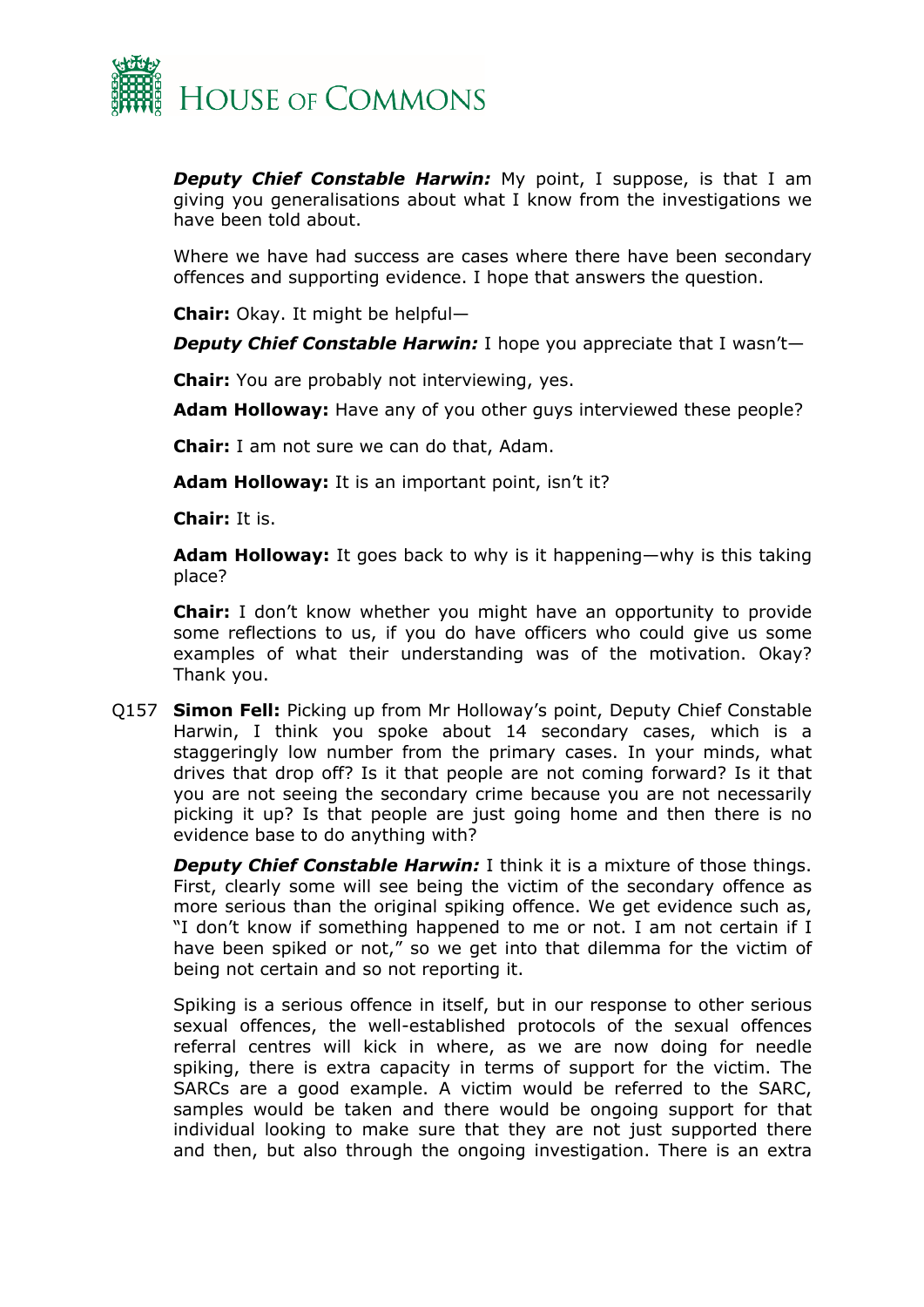

*Deputy Chief Constable Harwin:* My point, I suppose, is that I am giving you generalisations about what I know from the investigations we have been told about.

Where we have had success are cases where there have been secondary offences and supporting evidence. I hope that answers the question.

**Chair:** Okay. It might be helpful—

*Deputy Chief Constable Harwin:* I hope you appreciate that I wasn't—

**Chair:** You are probably not interviewing, yes.

**Adam Holloway:** Have any of you other guys interviewed these people?

**Chair:** I am not sure we can do that, Adam.

**Adam Holloway:** It is an important point, isn't it?

**Chair:** It is.

**Adam Holloway:** It goes back to why is it happening—why is this taking place?

**Chair:** I don't know whether you might have an opportunity to provide some reflections to us, if you do have officers who could give us some examples of what their understanding was of the motivation. Okay? Thank you.

Q157 **Simon Fell:** Picking up from Mr Holloway's point, Deputy Chief Constable Harwin, I think you spoke about 14 secondary cases, which is a staggeringly low number from the primary cases. In your minds, what drives that drop off? Is it that people are not coming forward? Is it that you are not seeing the secondary crime because you are not necessarily picking it up? Is that people are just going home and then there is no evidence base to do anything with?

*Deputy Chief Constable Harwin:* I think it is a mixture of those things. First, clearly some will see being the victim of the secondary offence as more serious than the original spiking offence. We get evidence such as, "I don't know if something happened to me or not. I am not certain if I have been spiked or not," so we get into that dilemma for the victim of being not certain and so not reporting it.

Spiking is a serious offence in itself, but in our response to other serious sexual offences, the well-established protocols of the sexual offences referral centres will kick in where, as we are now doing for needle spiking, there is extra capacity in terms of support for the victim. The SARCs are a good example. A victim would be referred to the SARC, samples would be taken and there would be ongoing support for that individual looking to make sure that they are not just supported there and then, but also through the ongoing investigation. There is an extra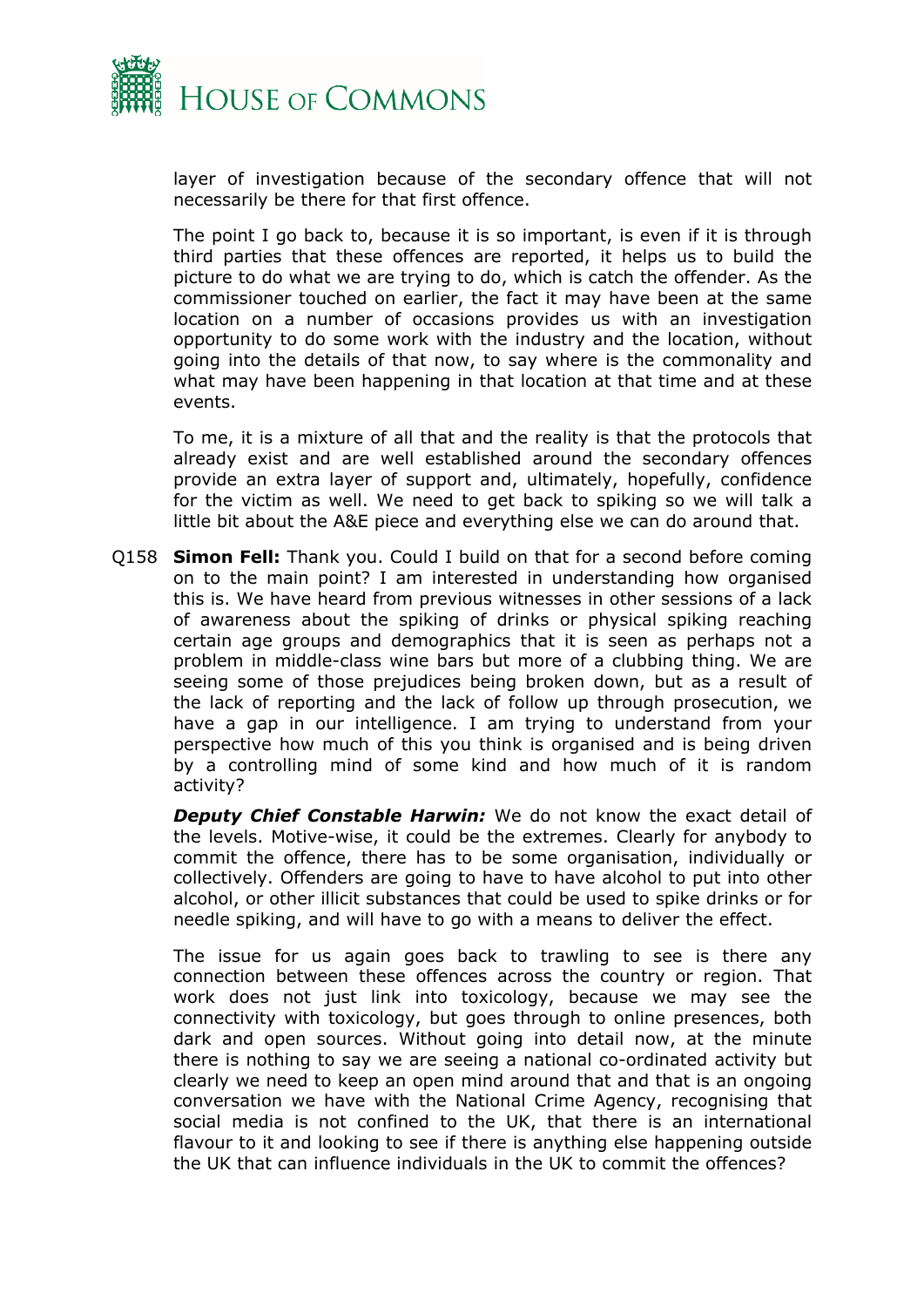

layer of investigation because of the secondary offence that will not necessarily be there for that first offence.

The point I go back to, because it is so important, is even if it is through third parties that these offences are reported, it helps us to build the picture to do what we are trying to do, which is catch the offender. As the commissioner touched on earlier, the fact it may have been at the same location on a number of occasions provides us with an investigation opportunity to do some work with the industry and the location, without going into the details of that now, to say where is the commonality and what may have been happening in that location at that time and at these events.

To me, it is a mixture of all that and the reality is that the protocols that already exist and are well established around the secondary offences provide an extra layer of support and, ultimately, hopefully, confidence for the victim as well. We need to get back to spiking so we will talk a little bit about the A&E piece and everything else we can do around that.

Q158 **Simon Fell:** Thank you. Could I build on that for a second before coming on to the main point? I am interested in understanding how organised this is. We have heard from previous witnesses in other sessions of a lack of awareness about the spiking of drinks or physical spiking reaching certain age groups and demographics that it is seen as perhaps not a problem in middle-class wine bars but more of a clubbing thing. We are seeing some of those prejudices being broken down, but as a result of the lack of reporting and the lack of follow up through prosecution, we have a gap in our intelligence. I am trying to understand from your perspective how much of this you think is organised and is being driven by a controlling mind of some kind and how much of it is random activity?

*Deputy Chief Constable Harwin:* We do not know the exact detail of the levels. Motive-wise, it could be the extremes. Clearly for anybody to commit the offence, there has to be some organisation, individually or collectively. Offenders are going to have to have alcohol to put into other alcohol, or other illicit substances that could be used to spike drinks or for needle spiking, and will have to go with a means to deliver the effect.

The issue for us again goes back to trawling to see is there any connection between these offences across the country or region. That work does not just link into toxicology, because we may see the connectivity with toxicology, but goes through to online presences, both dark and open sources. Without going into detail now, at the minute there is nothing to say we are seeing a national co-ordinated activity but clearly we need to keep an open mind around that and that is an ongoing conversation we have with the National Crime Agency, recognising that social media is not confined to the UK, that there is an international flavour to it and looking to see if there is anything else happening outside the UK that can influence individuals in the UK to commit the offences?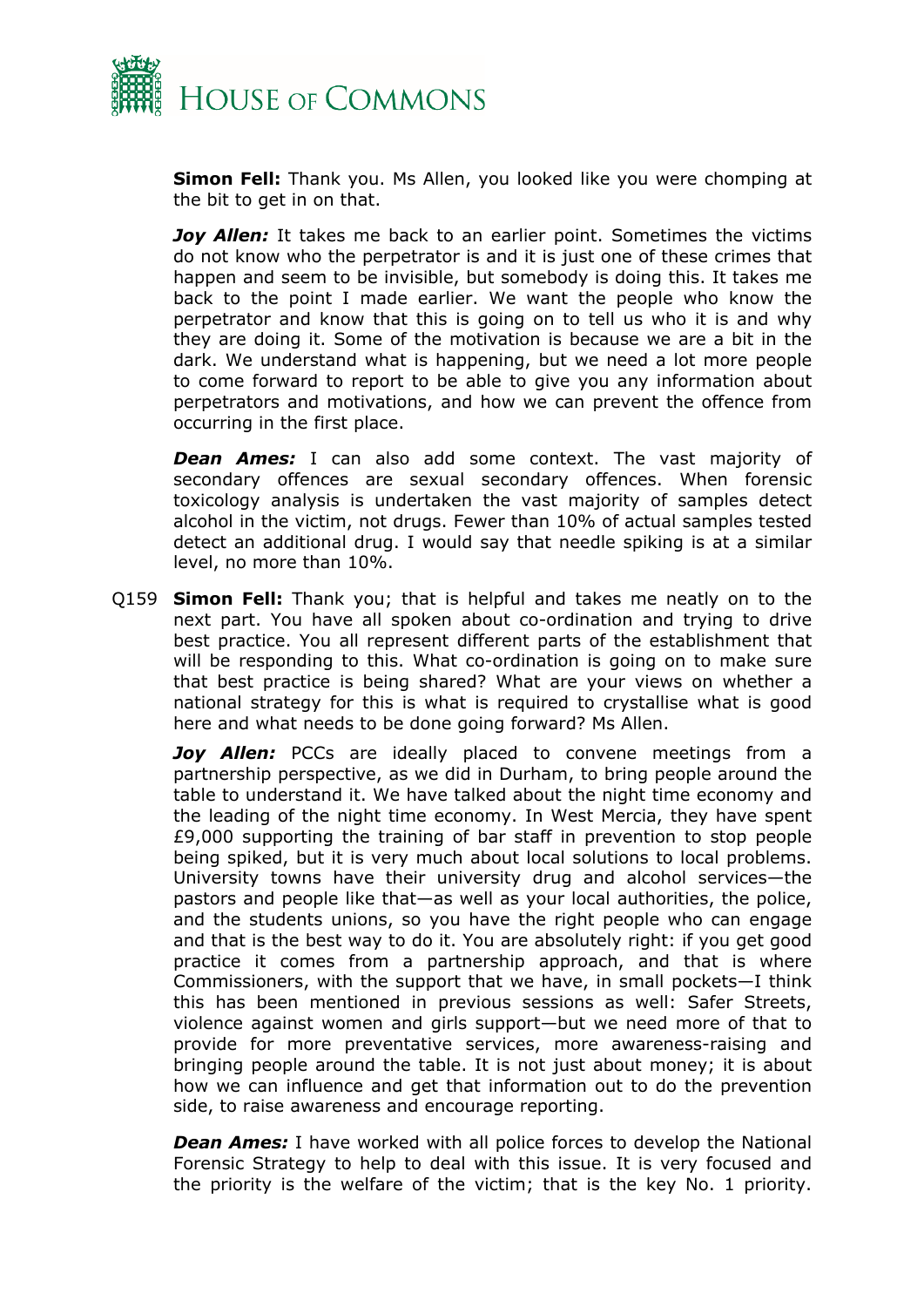

**Simon Fell:** Thank you. Ms Allen, you looked like you were chomping at the bit to get in on that.

*Joy Allen:* It takes me back to an earlier point. Sometimes the victims do not know who the perpetrator is and it is just one of these crimes that happen and seem to be invisible, but somebody is doing this. It takes me back to the point I made earlier. We want the people who know the perpetrator and know that this is going on to tell us who it is and why they are doing it. Some of the motivation is because we are a bit in the dark. We understand what is happening, but we need a lot more people to come forward to report to be able to give you any information about perpetrators and motivations, and how we can prevent the offence from occurring in the first place.

**Dean Ames:** I can also add some context. The vast majority of secondary offences are sexual secondary offences. When forensic toxicology analysis is undertaken the vast majority of samples detect alcohol in the victim, not drugs. Fewer than 10% of actual samples tested detect an additional drug. I would say that needle spiking is at a similar level, no more than 10%.

Q159 **Simon Fell:** Thank you; that is helpful and takes me neatly on to the next part. You have all spoken about co-ordination and trying to drive best practice. You all represent different parts of the establishment that will be responding to this. What co-ordination is going on to make sure that best practice is being shared? What are your views on whether a national strategy for this is what is required to crystallise what is good here and what needs to be done going forward? Ms Allen.

*Joy Allen:* PCCs are ideally placed to convene meetings from a partnership perspective, as we did in Durham, to bring people around the table to understand it. We have talked about the night time economy and the leading of the night time economy. In West Mercia, they have spent £9,000 supporting the training of bar staff in prevention to stop people being spiked, but it is very much about local solutions to local problems. University towns have their university drug and alcohol services—the pastors and people like that—as well as your local authorities, the police, and the students unions, so you have the right people who can engage and that is the best way to do it. You are absolutely right: if you get good practice it comes from a partnership approach, and that is where Commissioners, with the support that we have, in small pockets—I think this has been mentioned in previous sessions as well: Safer Streets, violence against women and girls support—but we need more of that to provide for more preventative services, more awareness-raising and bringing people around the table. It is not just about money; it is about how we can influence and get that information out to do the prevention side, to raise awareness and encourage reporting.

*Dean Ames:* I have worked with all police forces to develop the National Forensic Strategy to help to deal with this issue. It is very focused and the priority is the welfare of the victim; that is the key No. 1 priority.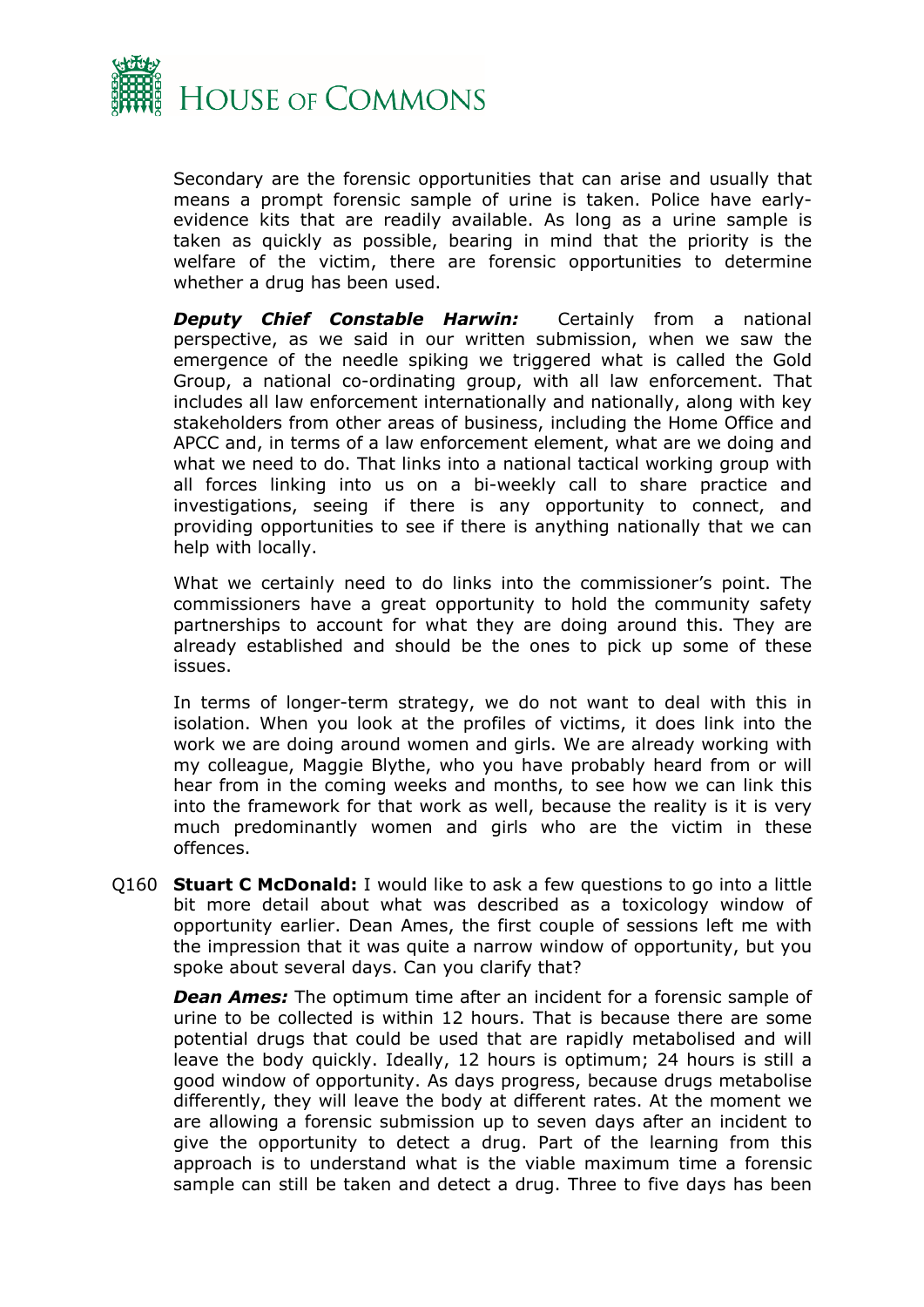

Secondary are the forensic opportunities that can arise and usually that means a prompt forensic sample of urine is taken. Police have earlyevidence kits that are readily available. As long as a urine sample is taken as quickly as possible, bearing in mind that the priority is the welfare of the victim, there are forensic opportunities to determine whether a drug has been used.

*Deputy Chief Constable Harwin:* Certainly from a national perspective, as we said in our written submission, when we saw the emergence of the needle spiking we triggered what is called the Gold Group, a national co-ordinating group, with all law enforcement. That includes all law enforcement internationally and nationally, along with key stakeholders from other areas of business, including the Home Office and APCC and, in terms of a law enforcement element, what are we doing and what we need to do. That links into a national tactical working group with all forces linking into us on a bi-weekly call to share practice and investigations, seeing if there is any opportunity to connect, and providing opportunities to see if there is anything nationally that we can help with locally.

What we certainly need to do links into the commissioner's point. The commissioners have a great opportunity to hold the community safety partnerships to account for what they are doing around this. They are already established and should be the ones to pick up some of these issues.

In terms of longer-term strategy, we do not want to deal with this in isolation. When you look at the profiles of victims, it does link into the work we are doing around women and girls. We are already working with my colleague, Maggie Blythe, who you have probably heard from or will hear from in the coming weeks and months, to see how we can link this into the framework for that work as well, because the reality is it is very much predominantly women and girls who are the victim in these offences.

Q160 **Stuart C McDonald:** I would like to ask a few questions to go into a little bit more detail about what was described as a toxicology window of opportunity earlier. Dean Ames, the first couple of sessions left me with the impression that it was quite a narrow window of opportunity, but you spoke about several days. Can you clarify that?

*Dean Ames:* The optimum time after an incident for a forensic sample of urine to be collected is within 12 hours. That is because there are some potential drugs that could be used that are rapidly metabolised and will leave the body quickly. Ideally, 12 hours is optimum; 24 hours is still a good window of opportunity. As days progress, because drugs metabolise differently, they will leave the body at different rates. At the moment we are allowing a forensic submission up to seven days after an incident to give the opportunity to detect a drug. Part of the learning from this approach is to understand what is the viable maximum time a forensic sample can still be taken and detect a drug. Three to five days has been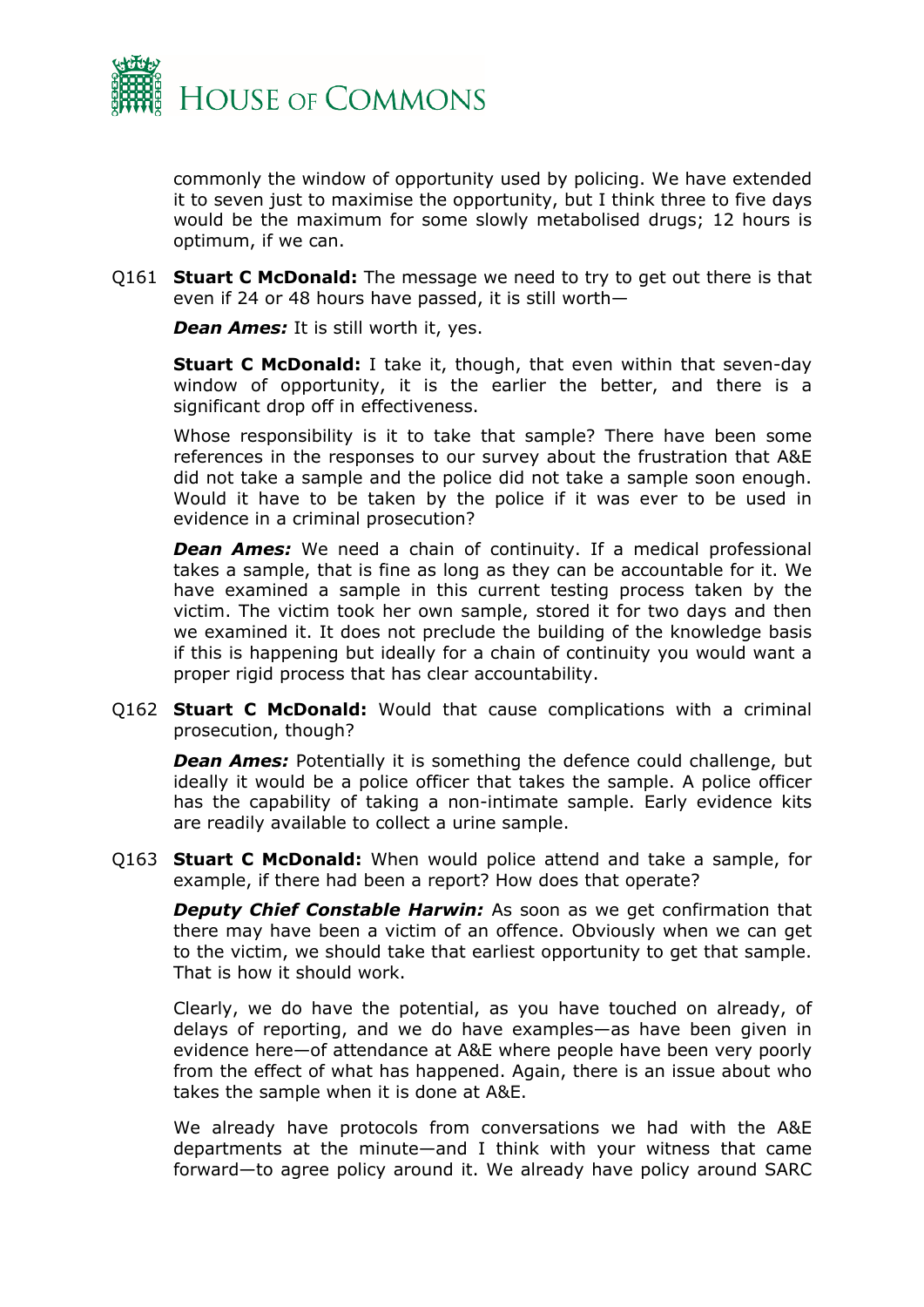

commonly the window of opportunity used by policing. We have extended it to seven just to maximise the opportunity, but I think three to five days would be the maximum for some slowly metabolised drugs; 12 hours is optimum, if we can.

Q161 **Stuart C McDonald:** The message we need to try to get out there is that even if 24 or 48 hours have passed, it is still worth—

*Dean Ames:* It is still worth it, yes.

**Stuart C McDonald:** I take it, though, that even within that seven-day window of opportunity, it is the earlier the better, and there is a significant drop off in effectiveness.

Whose responsibility is it to take that sample? There have been some references in the responses to our survey about the frustration that A&E did not take a sample and the police did not take a sample soon enough. Would it have to be taken by the police if it was ever to be used in evidence in a criminal prosecution?

*Dean Ames:* We need a chain of continuity. If a medical professional takes a sample, that is fine as long as they can be accountable for it. We have examined a sample in this current testing process taken by the victim. The victim took her own sample, stored it for two days and then we examined it. It does not preclude the building of the knowledge basis if this is happening but ideally for a chain of continuity you would want a proper rigid process that has clear accountability.

Q162 **Stuart C McDonald:** Would that cause complications with a criminal prosecution, though?

*Dean Ames:* Potentially it is something the defence could challenge, but ideally it would be a police officer that takes the sample. A police officer has the capability of taking a non-intimate sample. Early evidence kits are readily available to collect a urine sample.

Q163 **Stuart C McDonald:** When would police attend and take a sample, for example, if there had been a report? How does that operate?

*Deputy Chief Constable Harwin:* As soon as we get confirmation that there may have been a victim of an offence. Obviously when we can get to the victim, we should take that earliest opportunity to get that sample. That is how it should work.

Clearly, we do have the potential, as you have touched on already, of delays of reporting, and we do have examples—as have been given in evidence here—of attendance at A&E where people have been very poorly from the effect of what has happened. Again, there is an issue about who takes the sample when it is done at A&E.

We already have protocols from conversations we had with the A&E departments at the minute—and I think with your witness that came forward—to agree policy around it. We already have policy around SARC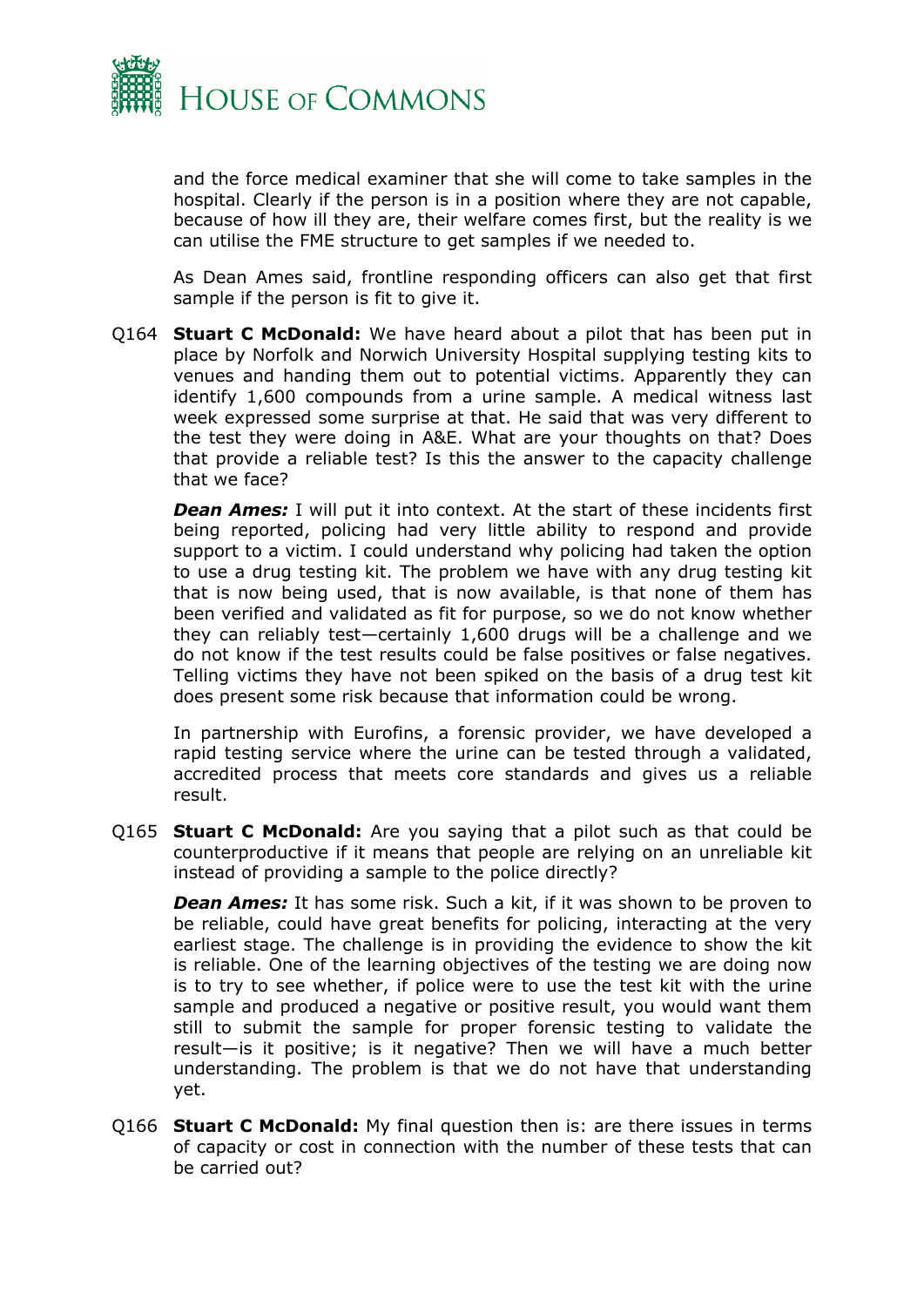

and the force medical examiner that she will come to take samples in the hospital. Clearly if the person is in a position where they are not capable, because of how ill they are, their welfare comes first, but the reality is we can utilise the FME structure to get samples if we needed to.

As Dean Ames said, frontline responding officers can also get that first sample if the person is fit to give it.

Q164 **Stuart C McDonald:** We have heard about a pilot that has been put in place by Norfolk and Norwich University Hospital supplying testing kits to venues and handing them out to potential victims. Apparently they can identify 1,600 compounds from a urine sample. A medical witness last week expressed some surprise at that. He said that was very different to the test they were doing in A&E. What are your thoughts on that? Does that provide a reliable test? Is this the answer to the capacity challenge that we face?

*Dean Ames:* I will put it into context. At the start of these incidents first being reported, policing had very little ability to respond and provide support to a victim. I could understand why policing had taken the option to use a drug testing kit. The problem we have with any drug testing kit that is now being used, that is now available, is that none of them has been verified and validated as fit for purpose, so we do not know whether they can reliably test—certainly 1,600 drugs will be a challenge and we do not know if the test results could be false positives or false negatives. Telling victims they have not been spiked on the basis of a drug test kit does present some risk because that information could be wrong.

In partnership with Eurofins, a forensic provider, we have developed a rapid testing service where the urine can be tested through a validated, accredited process that meets core standards and gives us a reliable result.

Q165 **Stuart C McDonald:** Are you saying that a pilot such as that could be counterproductive if it means that people are relying on an unreliable kit instead of providing a sample to the police directly?

**Dean Ames:** It has some risk. Such a kit, if it was shown to be proven to be reliable, could have great benefits for policing, interacting at the very earliest stage. The challenge is in providing the evidence to show the kit is reliable. One of the learning objectives of the testing we are doing now is to try to see whether, if police were to use the test kit with the urine sample and produced a negative or positive result, you would want them still to submit the sample for proper forensic testing to validate the result—is it positive; is it negative? Then we will have a much better understanding. The problem is that we do not have that understanding yet.

Q166 **Stuart C McDonald:** My final question then is: are there issues in terms of capacity or cost in connection with the number of these tests that can be carried out?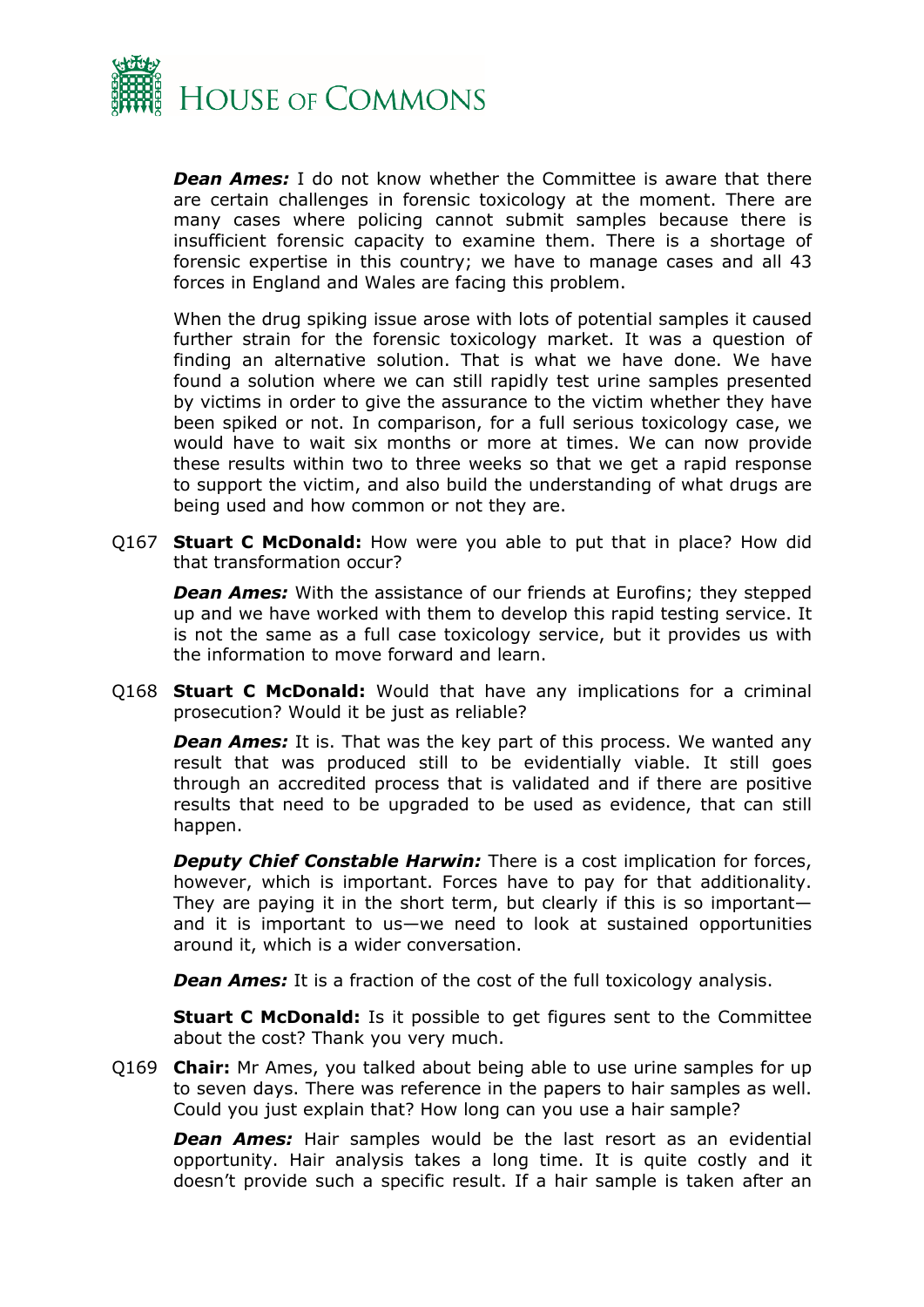

*Dean Ames:* I do not know whether the Committee is aware that there are certain challenges in forensic toxicology at the moment. There are many cases where policing cannot submit samples because there is insufficient forensic capacity to examine them. There is a shortage of forensic expertise in this country; we have to manage cases and all 43 forces in England and Wales are facing this problem.

When the drug spiking issue arose with lots of potential samples it caused further strain for the forensic toxicology market. It was a question of finding an alternative solution. That is what we have done. We have found a solution where we can still rapidly test urine samples presented by victims in order to give the assurance to the victim whether they have been spiked or not. In comparison, for a full serious toxicology case, we would have to wait six months or more at times. We can now provide these results within two to three weeks so that we get a rapid response to support the victim, and also build the understanding of what drugs are being used and how common or not they are.

Q167 **Stuart C McDonald:** How were you able to put that in place? How did that transformation occur?

*Dean Ames:* With the assistance of our friends at Eurofins; they stepped up and we have worked with them to develop this rapid testing service. It is not the same as a full case toxicology service, but it provides us with the information to move forward and learn.

Q168 **Stuart C McDonald:** Would that have any implications for a criminal prosecution? Would it be just as reliable?

*Dean Ames:* It is. That was the key part of this process. We wanted any result that was produced still to be evidentially viable. It still goes through an accredited process that is validated and if there are positive results that need to be upgraded to be used as evidence, that can still happen.

*Deputy Chief Constable Harwin:* There is a cost implication for forces, however, which is important. Forces have to pay for that additionality. They are paying it in the short term, but clearly if this is so important and it is important to us—we need to look at sustained opportunities around it, which is a wider conversation.

*Dean Ames:* It is a fraction of the cost of the full toxicology analysis.

**Stuart C McDonald:** Is it possible to get figures sent to the Committee about the cost? Thank you very much.

Q169 **Chair:** Mr Ames, you talked about being able to use urine samples for up to seven days. There was reference in the papers to hair samples as well. Could you just explain that? How long can you use a hair sample?

*Dean Ames:* Hair samples would be the last resort as an evidential opportunity. Hair analysis takes a long time. It is quite costly and it doesn't provide such a specific result. If a hair sample is taken after an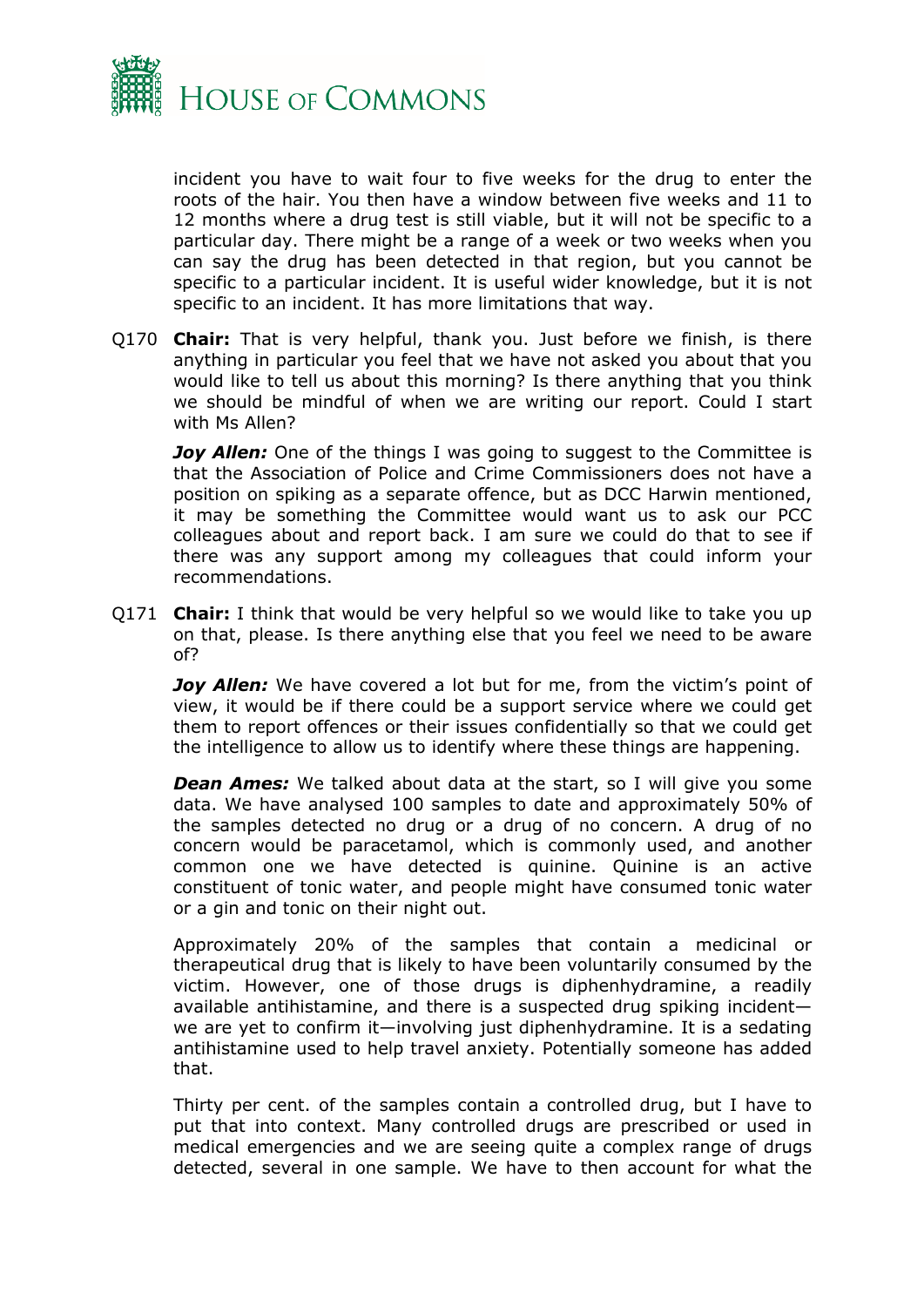

incident you have to wait four to five weeks for the drug to enter the roots of the hair. You then have a window between five weeks and 11 to 12 months where a drug test is still viable, but it will not be specific to a particular day. There might be a range of a week or two weeks when you can say the drug has been detected in that region, but you cannot be specific to a particular incident. It is useful wider knowledge, but it is not specific to an incident. It has more limitations that way.

Q170 **Chair:** That is very helpful, thank you. Just before we finish, is there anything in particular you feel that we have not asked you about that you would like to tell us about this morning? Is there anything that you think we should be mindful of when we are writing our report. Could I start with Ms Allen?

*Joy Allen:* One of the things I was going to suggest to the Committee is that the Association of Police and Crime Commissioners does not have a position on spiking as a separate offence, but as DCC Harwin mentioned, it may be something the Committee would want us to ask our PCC colleagues about and report back. I am sure we could do that to see if there was any support among my colleagues that could inform your recommendations.

Q171 **Chair:** I think that would be very helpful so we would like to take you up on that, please. Is there anything else that you feel we need to be aware of?

*Joy Allen:* We have covered a lot but for me, from the victim's point of view, it would be if there could be a support service where we could get them to report offences or their issues confidentially so that we could get the intelligence to allow us to identify where these things are happening.

*Dean Ames:* We talked about data at the start, so I will give you some data. We have analysed 100 samples to date and approximately 50% of the samples detected no drug or a drug of no concern. A drug of no concern would be paracetamol, which is commonly used, and another common one we have detected is quinine. Quinine is an active constituent of tonic water, and people might have consumed tonic water or a gin and tonic on their night out.

Approximately 20% of the samples that contain a medicinal or therapeutical drug that is likely to have been voluntarily consumed by the victim. However, one of those drugs is diphenhydramine, a readily available antihistamine, and there is a suspected drug spiking incident we are yet to confirm it—involving just diphenhydramine. It is a sedating antihistamine used to help travel anxiety. Potentially someone has added that.

Thirty per cent. of the samples contain a controlled drug, but I have to put that into context. Many controlled drugs are prescribed or used in medical emergencies and we are seeing quite a complex range of drugs detected, several in one sample. We have to then account for what the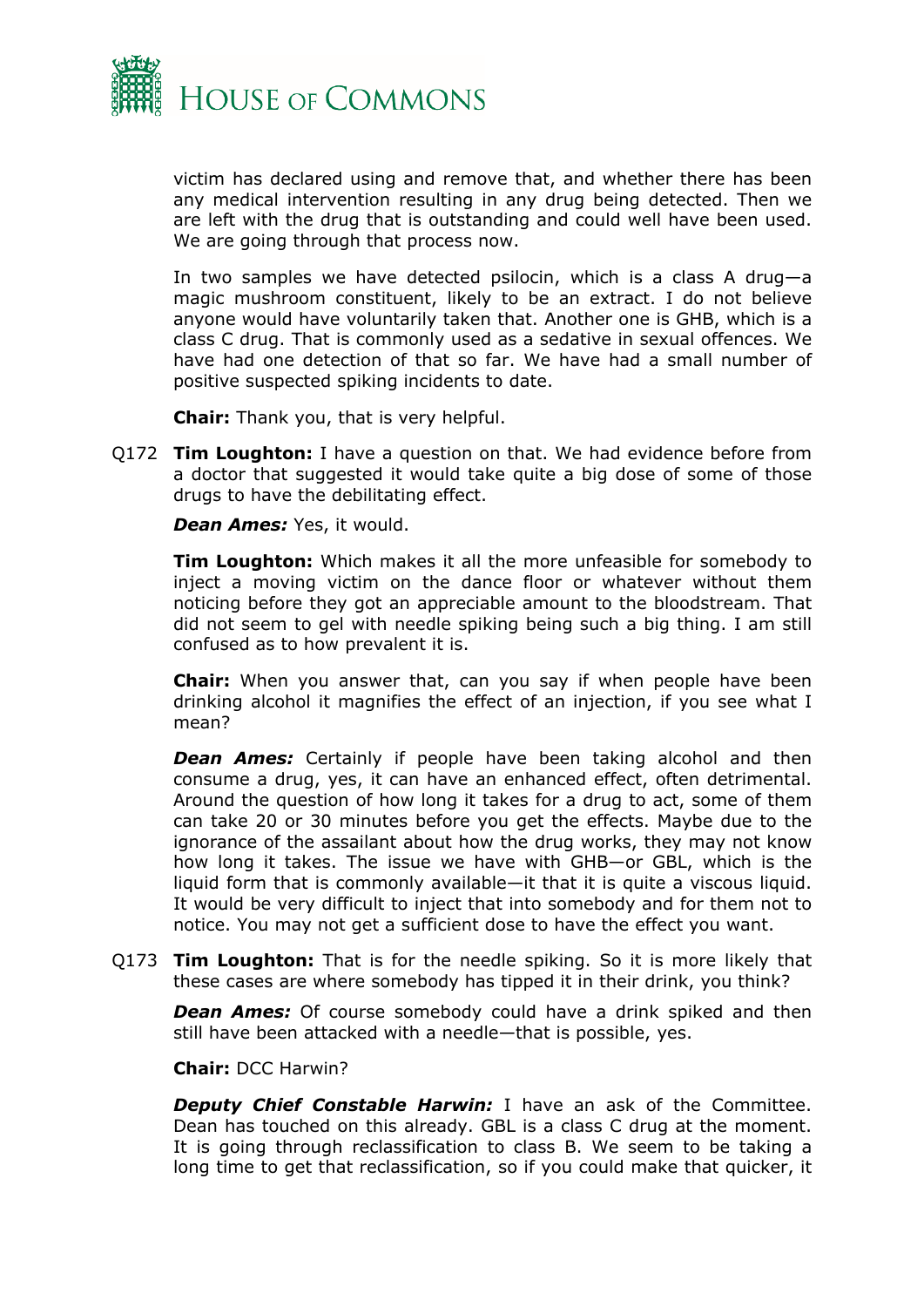

victim has declared using and remove that, and whether there has been any medical intervention resulting in any drug being detected. Then we are left with the drug that is outstanding and could well have been used. We are going through that process now.

In two samples we have detected psilocin, which is a class A drug—a magic mushroom constituent, likely to be an extract. I do not believe anyone would have voluntarily taken that. Another one is GHB, which is a class C drug. That is commonly used as a sedative in sexual offences. We have had one detection of that so far. We have had a small number of positive suspected spiking incidents to date.

**Chair:** Thank you, that is very helpful.

Q172 **Tim Loughton:** I have a question on that. We had evidence before from a doctor that suggested it would take quite a big dose of some of those drugs to have the debilitating effect.

*Dean Ames:* Yes, it would.

**Tim Loughton:** Which makes it all the more unfeasible for somebody to inject a moving victim on the dance floor or whatever without them noticing before they got an appreciable amount to the bloodstream. That did not seem to gel with needle spiking being such a big thing. I am still confused as to how prevalent it is.

**Chair:** When you answer that, can you say if when people have been drinking alcohol it magnifies the effect of an injection, if you see what I mean?

*Dean Ames:* Certainly if people have been taking alcohol and then consume a drug, yes, it can have an enhanced effect, often detrimental. Around the question of how long it takes for a drug to act, some of them can take 20 or 30 minutes before you get the effects. Maybe due to the ignorance of the assailant about how the drug works, they may not know how long it takes. The issue we have with GHB—or GBL, which is the liquid form that is commonly available—it that it is quite a viscous liquid. It would be very difficult to inject that into somebody and for them not to notice. You may not get a sufficient dose to have the effect you want.

Q173 **Tim Loughton:** That is for the needle spiking. So it is more likely that these cases are where somebody has tipped it in their drink, you think?

**Dean Ames:** Of course somebody could have a drink spiked and then still have been attacked with a needle—that is possible, yes.

**Chair:** DCC Harwin?

*Deputy Chief Constable Harwin:* I have an ask of the Committee. Dean has touched on this already. GBL is a class C drug at the moment. It is going through reclassification to class B. We seem to be taking a long time to get that reclassification, so if you could make that quicker, it